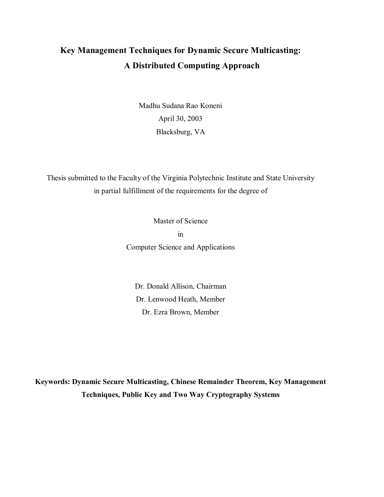## **Key Management Techniques for Dynamic Secure Multicasting: A Distributed Computing Approach**

Madhu Sudana Rao Koneni April 30, 2003 Blacksburg, VA

Thesis submitted to the Faculty of the Virginia Polytechnic Institute and State University in partial fulfillment of the requirements for the degree of

> Master of Science in Computer Science and Applications

Dr. Donald Allison, Chairman Dr. Lenwood Heath, Member Dr. Ezra Brown, Member

**Keywords: Dynamic Secure Multicasting, Chinese Remainder Theorem, Key Management Techniques, Public Key and Two Way Cryptography Systems**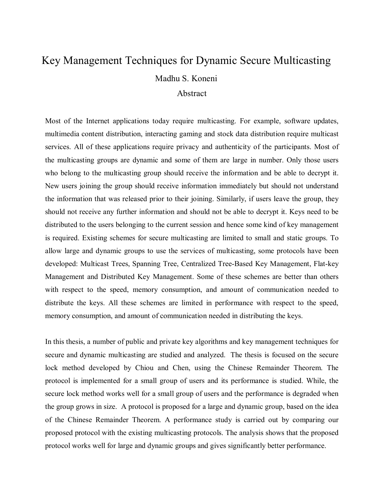## Key Management Techniques for Dynamic Secure Multicasting Madhu S. Koneni

#### Abstract

Most of the Internet applications today require multicasting. For example, software updates, multimedia content distribution, interacting gaming and stock data distribution require multicast services. All of these applications require privacy and authenticity of the participants. Most of the multicasting groups are dynamic and some of them are large in number. Only those users who belong to the multicasting group should receive the information and be able to decrypt it. New users joining the group should receive information immediately but should not understand the information that was released prior to their joining. Similarly, if users leave the group, they should not receive any further information and should not be able to decrypt it. Keys need to be distributed to the users belonging to the current session and hence some kind of key management is required. Existing schemes for secure multicasting are limited to small and static groups. To allow large and dynamic groups to use the services of multicasting, some protocols have been developed: Multicast Trees, Spanning Tree, Centralized Tree-Based Key Management, Flat-key Management and Distributed Key Management. Some of these schemes are better than others with respect to the speed, memory consumption, and amount of communication needed to distribute the keys. All these schemes are limited in performance with respect to the speed, memory consumption, and amount of communication needed in distributing the keys.

In this thesis, a number of public and private key algorithms and key management techniques for secure and dynamic multicasting are studied and analyzed. The thesis is focused on the secure lock method developed by Chiou and Chen, using the Chinese Remainder Theorem. The protocol is implemented for a small group of users and its performance is studied. While, the secure lock method works well for a small group of users and the performance is degraded when the group grows in size. A protocol is proposed for a large and dynamic group, based on the idea of the Chinese Remainder Theorem. A performance study is carried out by comparing our proposed protocol with the existing multicasting protocols. The analysis shows that the proposed protocol works well for large and dynamic groups and gives significantly better performance.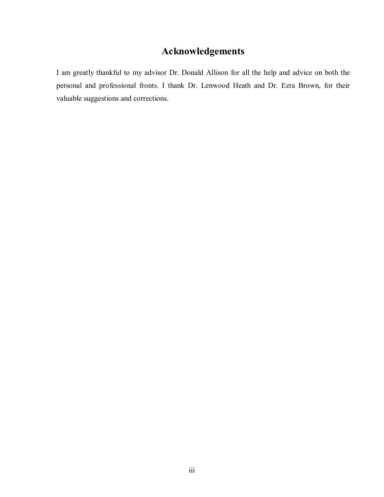## **Acknowledgements**

I am greatly thankful to my advisor Dr. Donald Allison for all the help and advice on both the personal and professional fronts. I thank Dr. Lenwood Heath and Dr. Ezra Brown, for their valuable suggestions and corrections.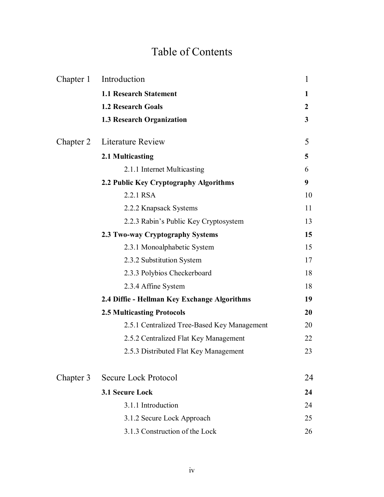# Table of Contents

| Chapter 1 | Introduction                                 | $\mathbf{1}$   |  |  |  |
|-----------|----------------------------------------------|----------------|--|--|--|
|           | <b>1.1 Research Statement</b>                | 1              |  |  |  |
|           | <b>1.2 Research Goals</b>                    | $\overline{2}$ |  |  |  |
|           | <b>1.3 Research Organization</b>             | $\mathbf{3}$   |  |  |  |
| Chapter 2 | <b>Literature Review</b>                     | 5              |  |  |  |
|           | 2.1 Multicasting                             | 5              |  |  |  |
|           | 2.1.1 Internet Multicasting                  | 6              |  |  |  |
|           | 2.2 Public Key Cryptography Algorithms       | 9              |  |  |  |
|           | 2.2.1 RSA                                    | 10             |  |  |  |
|           | 2.2.2 Knapsack Systems                       | 11             |  |  |  |
|           | 2.2.3 Rabin's Public Key Cryptosystem        | 13             |  |  |  |
|           | 2.3 Two-way Cryptography Systems             | 15             |  |  |  |
|           | 2.3.1 Monoalphabetic System                  | 15             |  |  |  |
|           | 2.3.2 Substitution System                    | 17             |  |  |  |
|           | 2.3.3 Polybios Checkerboard                  | 18             |  |  |  |
|           | 2.3.4 Affine System                          | 18             |  |  |  |
|           | 2.4 Diffie - Hellman Key Exchange Algorithms | 19             |  |  |  |
|           | <b>2.5 Multicasting Protocols</b>            | 20             |  |  |  |
|           | 2.5.1 Centralized Tree-Based Key Management  | 20             |  |  |  |
|           | 2.5.2 Centralized Flat Key Management        | 22             |  |  |  |
|           | 2.5.3 Distributed Flat Key Management        | 23             |  |  |  |
| Chapter 3 | Secure Lock Protocol                         | 24             |  |  |  |
|           | 3.1 Secure Lock                              |                |  |  |  |
|           | 3.1.1 Introduction                           | 24             |  |  |  |
|           | 3.1.2 Secure Lock Approach                   | 25             |  |  |  |
|           | 3.1.3 Construction of the Lock               | 26             |  |  |  |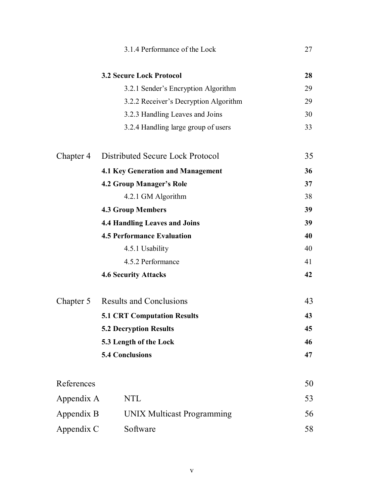|            | 3.1.4 Performance of the Lock            | 27 |
|------------|------------------------------------------|----|
|            | <b>3.2 Secure Lock Protocol</b>          | 28 |
|            | 3.2.1 Sender's Encryption Algorithm      | 29 |
|            | 3.2.2 Receiver's Decryption Algorithm    | 29 |
|            | 3.2.3 Handling Leaves and Joins          | 30 |
|            | 3.2.4 Handling large group of users      | 33 |
| Chapter 4  | Distributed Secure Lock Protocol         | 35 |
|            | <b>4.1 Key Generation and Management</b> | 36 |
|            | <b>4.2 Group Manager's Role</b>          | 37 |
|            | 4.2.1 GM Algorithm                       | 38 |
|            | <b>4.3 Group Members</b>                 | 39 |
|            | <b>4.4 Handling Leaves and Joins</b>     | 39 |
|            | <b>4.5 Performance Evaluation</b>        | 40 |
|            | 4.5.1 Usability                          | 40 |
|            | 4.5.2 Performance                        | 41 |
|            | <b>4.6 Security Attacks</b>              | 42 |
| Chapter 5  | <b>Results and Conclusions</b>           | 43 |
|            | <b>5.1 CRT Computation Results</b>       | 43 |
|            | <b>5.2 Decryption Results</b>            | 45 |
|            | 5.3 Length of the Lock                   | 46 |
|            | <b>5.4 Conclusions</b>                   | 47 |
| References |                                          | 50 |
| Appendix A | NTL                                      | 53 |
| Appendix B | <b>UNIX Multicast Programming</b>        | 56 |
| Appendix C | Software                                 | 58 |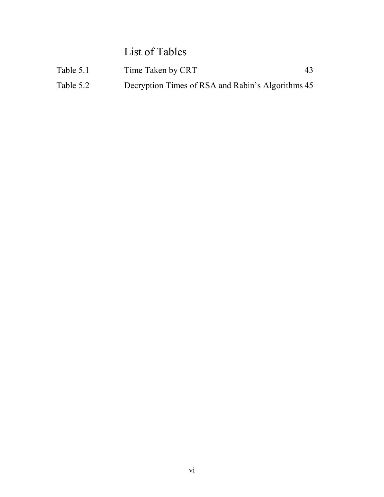List of Tables

| Table 5.1 | Time Taken by CRT                                 | 43 |
|-----------|---------------------------------------------------|----|
| Table 5.2 | Decryption Times of RSA and Rabin's Algorithms 45 |    |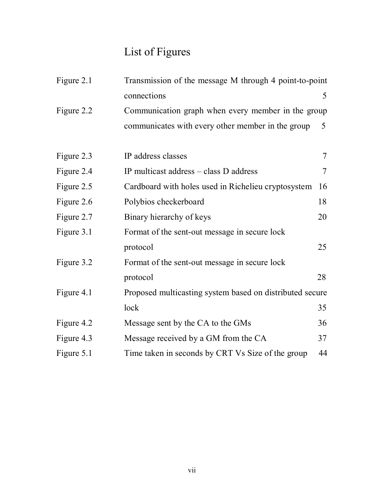# List of Figures

| Figure 2.1 | Transmission of the message M through 4 point-to-point   |        |  |  |  |  |  |  |
|------------|----------------------------------------------------------|--------|--|--|--|--|--|--|
|            | connections                                              | 5      |  |  |  |  |  |  |
| Figure 2.2 | Communication graph when every member in the group       |        |  |  |  |  |  |  |
|            | communicates with every other member in the group        | 5      |  |  |  |  |  |  |
| Figure 2.3 | IP address classes                                       | $\tau$ |  |  |  |  |  |  |
| Figure 2.4 | IP multicast address – class D address                   | $\tau$ |  |  |  |  |  |  |
| Figure 2.5 | Cardboard with holes used in Richelieu cryptosystem      | 16     |  |  |  |  |  |  |
| Figure 2.6 | Polybios checkerboard                                    | 18     |  |  |  |  |  |  |
| Figure 2.7 | Binary hierarchy of keys                                 | 20     |  |  |  |  |  |  |
| Figure 3.1 | Format of the sent-out message in secure lock            |        |  |  |  |  |  |  |
|            | protocol                                                 | 25     |  |  |  |  |  |  |
| Figure 3.2 | Format of the sent-out message in secure lock            |        |  |  |  |  |  |  |
|            | protocol                                                 | 28     |  |  |  |  |  |  |
| Figure 4.1 | Proposed multicasting system based on distributed secure |        |  |  |  |  |  |  |
|            | lock                                                     | 35     |  |  |  |  |  |  |
| Figure 4.2 | Message sent by the CA to the GMs                        | 36     |  |  |  |  |  |  |
| Figure 4.3 | Message received by a GM from the CA                     | 37     |  |  |  |  |  |  |
| Figure 5.1 | Time taken in seconds by CRT Vs Size of the group        | 44     |  |  |  |  |  |  |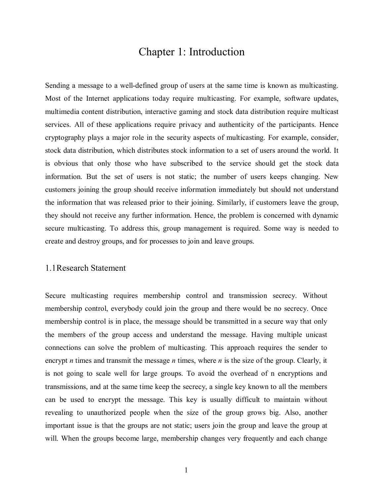### Chapter 1: Introduction

Sending a message to a well-defined group of users at the same time is known as multicasting. Most of the Internet applications today require multicasting. For example, software updates, multimedia content distribution, interactive gaming and stock data distribution require multicast services. All of these applications require privacy and authenticity of the participants. Hence cryptography plays a major role in the security aspects of multicasting. For example, consider, stock data distribution, which distributes stock information to a set of users around the world. It is obvious that only those who have subscribed to the service should get the stock data information. But the set of users is not static; the number of users keeps changing. New customers joining the group should receive information immediately but should not understand the information that was released prior to their joining. Similarly, if customers leave the group, they should not receive any further information. Hence, the problem is concerned with dynamic secure multicasting. To address this, group management is required. Some way is needed to create and destroy groups, and for processes to join and leave groups.

#### 1.1 Research Statement

Secure multicasting requires membership control and transmission secrecy. Without membership control, everybody could join the group and there would be no secrecy. Once membership control is in place, the message should be transmitted in a secure way that only the members of the group access and understand the message. Having multiple unicast connections can solve the problem of multicasting. This approach requires the sender to encrypt *n* times and transmit the message *n* times, where *n* is the size of the group. Clearly, it is not going to scale well for large groups. To avoid the overhead of n encryptions and transmissions, and at the same time keep the secrecy, a single key known to all the members can be used to encrypt the message. This key is usually difficult to maintain without revealing to unauthorized people when the size of the group grows big. Also, another important issue is that the groups are not static; users join the group and leave the group at will. When the groups become large, membership changes very frequently and each change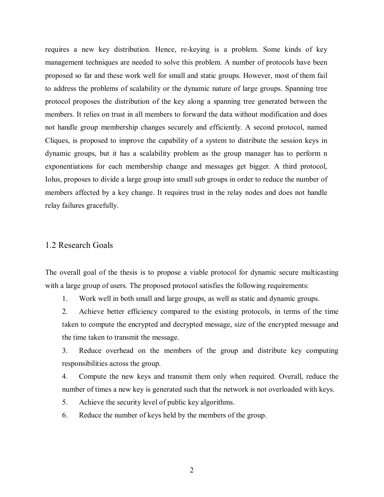requires a new key distribution. Hence, re-keying is a problem. Some kinds of key management techniques are needed to solve this problem. A number of protocols have been proposed so far and these work well for small and static groups. However, most of them fail to address the problems of scalability or the dynamic nature of large groups. Spanning tree protocol proposes the distribution of the key along a spanning tree generated between the members. It relies on trust in all members to forward the data without modification and does not handle group membership changes securely and efficiently. A second protocol, named Cliques, is proposed to improve the capability of a system to distribute the session keys in dynamic groups, but it has a scalability problem as the group manager has to perform n exponentiations for each membership change and messages get bigger. A third protocol, Iolus, proposes to divide a large group into small sub groups in order to reduce the number of members affected by a key change. It requires trust in the relay nodes and does not handle relay failures gracefully.

#### 1.2 Research Goals

The overall goal of the thesis is to propose a viable protocol for dynamic secure multicasting with a large group of users. The proposed protocol satisfies the following requirements:

1. Work well in both small and large groups, as well as static and dynamic groups.

2. Achieve better efficiency compared to the existing protocols, in terms of the time taken to compute the encrypted and decrypted message, size of the encrypted message and the time taken to transmit the message.

3. Reduce overhead on the members of the group and distribute key computing responsibilities across the group.

4. Compute the new keys and transmit them only when required. Overall, reduce the number of times a new key is generated such that the network is not overloaded with keys.

5. Achieve the security level of public key algorithms.

6. Reduce the number of keys held by the members of the group.

2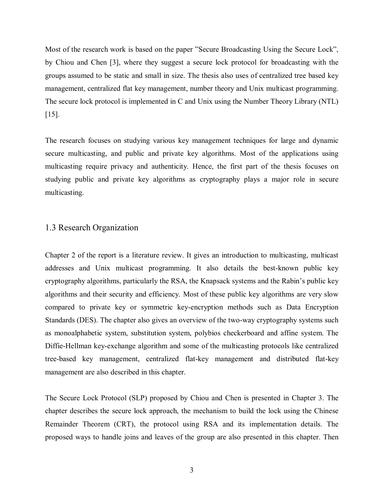Most of the research work is based on the paper "Secure Broadcasting Using the Secure Lock", by Chiou and Chen [3], where they suggest a secure lock protocol for broadcasting with the groups assumed to be static and small in size. The thesis also uses of centralized tree based key management, centralized flat key management, number theory and Unix multicast programming. The secure lock protocol is implemented in C and Unix using the Number Theory Library (NTL) [15].

The research focuses on studying various key management techniques for large and dynamic secure multicasting, and public and private key algorithms. Most of the applications using multicasting require privacy and authenticity. Hence, the first part of the thesis focuses on studying public and private key algorithms as cryptography plays a major role in secure multicasting.

#### 1.3 Research Organization

Chapter 2 of the report is a literature review. It gives an introduction to multicasting, multicast addresses and Unix multicast programming. It also details the best-known public key cryptography algorithms, particularly the RSA, the Knapsack systems and the Rabin's public key algorithms and their security and efficiency. Most of these public key algorithms are very slow compared to private key or symmetric key-encryption methods such as Data Encryption Standards (DES). The chapter also gives an overview of the two-way cryptography systems such as monoalphabetic system, substitution system, polybios checkerboard and affine system. The Diffie-Hellman key-exchange algorithm and some of the multicasting protocols like centralized tree-based key management, centralized flat-key management and distributed flat-key management are also described in this chapter.

The Secure Lock Protocol (SLP) proposed by Chiou and Chen is presented in Chapter 3. The chapter describes the secure lock approach, the mechanism to build the lock using the Chinese Remainder Theorem (CRT), the protocol using RSA and its implementation details. The proposed ways to handle joins and leaves of the group are also presented in this chapter. Then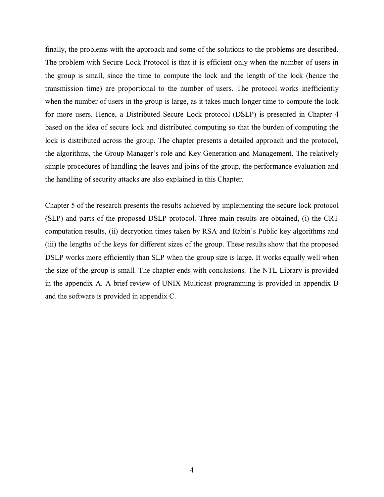finally, the problems with the approach and some of the solutions to the problems are described. The problem with Secure Lock Protocol is that it is efficient only when the number of users in the group is small, since the time to compute the lock and the length of the lock (hence the transmission time) are proportional to the number of users. The protocol works inefficiently when the number of users in the group is large, as it takes much longer time to compute the lock for more users. Hence, a Distributed Secure Lock protocol (DSLP) is presented in Chapter 4 based on the idea of secure lock and distributed computing so that the burden of computing the lock is distributed across the group. The chapter presents a detailed approach and the protocol, the algorithms, the Group Manager's role and Key Generation and Management. The relatively simple procedures of handling the leaves and joins of the group, the performance evaluation and the handling of security attacks are also explained in this Chapter.

Chapter 5 of the research presents the results achieved by implementing the secure lock protocol (SLP) and parts of the proposed DSLP protocol. Three main results are obtained, (i) the CRT computation results, (ii) decryption times taken by RSA and Rabin's Public key algorithms and (iii) the lengths of the keys for different sizes of the group. These results show that the proposed DSLP works more efficiently than SLP when the group size is large. It works equally well when the size of the group is small. The chapter ends with conclusions. The NTL Library is provided in the appendix A. A brief review of UNIX Multicast programming is provided in appendix B and the software is provided in appendix C.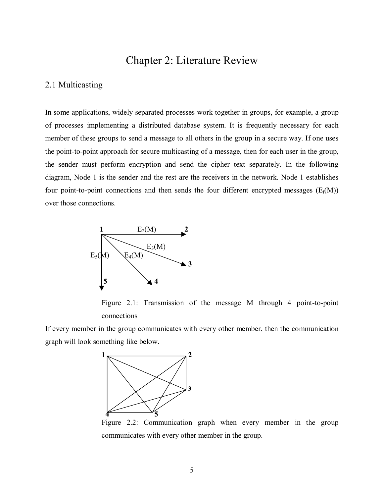## Chapter 2: Literature Review

#### 2.1 Multicasting

In some applications, widely separated processes work together in groups, for example, a group of processes implementing a distributed database system. It is frequently necessary for each member of these groups to send a message to all others in the group in a secure way. If one uses the point-to-point approach for secure multicasting of a message, then for each user in the group, the sender must perform encryption and send the cipher text separately. In the following diagram, Node 1 is the sender and the rest are the receivers in the network. Node 1 establishes four point-to-point connections and then sends the four different encrypted messages  $(E_i(M))$ over those connections.



Figure 2.1: Transmission of the message M through 4 point-to-point connections

If every member in the group communicates with every other member, then the communication graph will look something like below.



Figure 2.2: Communication graph when every member in the group communicates with every other member in the group.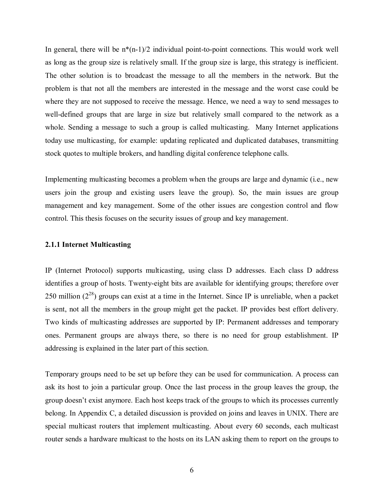In general, there will be  $n*(n-1)/2$  individual point-to-point connections. This would work well as long as the group size is relatively small. If the group size is large, this strategy is inefficient. The other solution is to broadcast the message to all the members in the network. But the problem is that not all the members are interested in the message and the worst case could be where they are not supposed to receive the message. Hence, we need a way to send messages to well-defined groups that are large in size but relatively small compared to the network as a whole. Sending a message to such a group is called multicasting. Many Internet applications today use multicasting, for example: updating replicated and duplicated databases, transmitting stock quotes to multiple brokers, and handling digital conference telephone calls.

Implementing multicasting becomes a problem when the groups are large and dynamic (i.e., new users join the group and existing users leave the group). So, the main issues are group management and key management. Some of the other issues are congestion control and flow control. This thesis focuses on the security issues of group and key management.

#### **2.1.1 Internet Multicasting**

IP (Internet Protocol) supports multicasting, using class D addresses. Each class D address identifies a group of hosts. Twenty-eight bits are available for identifying groups; therefore over 250 million  $(2^{28})$  groups can exist at a time in the Internet. Since IP is unreliable, when a packet is sent, not all the members in the group might get the packet. IP provides best effort delivery. Two kinds of multicasting addresses are supported by IP: Permanent addresses and temporary ones. Permanent groups are always there, so there is no need for group establishment. IP addressing is explained in the later part of this section.

Temporary groups need to be set up before they can be used for communication. A process can ask its host to join a particular group. Once the last process in the group leaves the group, the group doesn't exist anymore. Each host keeps track of the groups to which its processes currently belong. In Appendix C, a detailed discussion is provided on joins and leaves in UNIX. There are special multicast routers that implement multicasting. About every 60 seconds, each multicast router sends a hardware multicast to the hosts on its LAN asking them to report on the groups to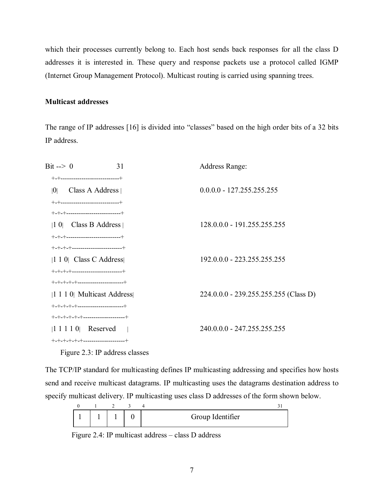which their processes currently belong to. Each host sends back responses for all the class D addresses it is interested in. These query and response packets use a protocol called IGMP (Internet Group Management Protocol). Multicast routing is carried using spanning trees.

#### **Multicast addresses**

The range of IP addresses [16] is divided into "classes" based on the high order bits of a 32 bits IP address.

| Bit $\leftarrow > 0$<br>31                          | Address Range:                        |
|-----------------------------------------------------|---------------------------------------|
| +-+----------------------------+                    |                                       |
| Class A Address $\vert$<br> 0                       | $0.0.0$ .0 - 127.255.255.255          |
| $+$ - $+$ ---------------------------+              |                                       |
| $+$ - $+$ - $+$ --------------------------+         |                                       |
| $ 1\>0$ Class B Address                             | 128.0.0.0 - 191.255.255.255           |
| $+$ - $+$ - $+$ --------------------------+         |                                       |
| +-+-+-+------------------------+                    |                                       |
| $ 1\ 1\ 0 $ Class C Address                         | 192.0.0.0 - 223.255.255.255           |
| +-+-+-+------------------------+                    |                                       |
| $+ - + - + - + - + - - - - - - - - - - - - - - - +$ |                                       |
| $ 1\ 1\ 1\ 0 $ Multicast Address                    | 224.0.0.0 - 239.255.255.255 (Class D) |
| $+ - + - + - + - + - - - - - - - - - - - - - - - +$ |                                       |
| $+ - + - + - + - + - - - - - - - - - - - - - - +$   |                                       |
| $ 1\ 1\ 1\ 1\ 0 $ Reserved                          | 240.0.0.0 - 247.255.255.255           |
| $+$ -+-+-+-+-+-+---------------------+              |                                       |
|                                                     |                                       |

Figure 2.3: IP address classes

The TCP/IP standard for multicasting defines IP multicasting addressing and specifies how hosts send and receive multicast datagrams. IP multicasting uses the datagrams destination address to specify multicast delivery. IP multicasting uses class D addresses of the form shown below.

|  |  | Group Identifier |  |
|--|--|------------------|--|

Figure 2.4: IP multicast address  $-$  class D address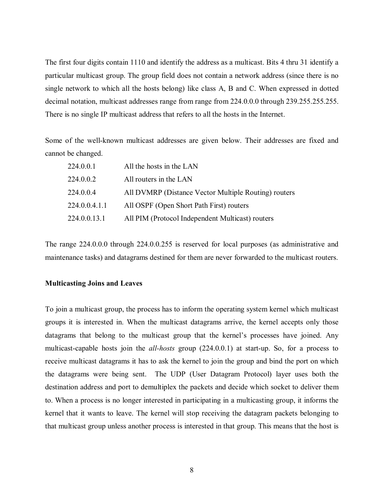The first four digits contain 1110 and identify the address as a multicast. Bits 4 thru 31 identify a particular multicast group. The group field does not contain a network address (since there is no single network to which all the hosts belong) like class A, B and C. When expressed in dotted decimal notation, multicast addresses range from range from 224.0.0.0 through 239.255.255.255. There is no single IP multicast address that refers to all the hosts in the Internet.

Some of the well-known multicast addresses are given below. Their addresses are fixed and cannot be changed.

| 224.0.0.1     | All the hosts in the LAN                             |
|---------------|------------------------------------------------------|
| 224.0.0.2     | All routers in the LAN                               |
| 224.0.0.4     | All DVMRP (Distance Vector Multiple Routing) routers |
| 224.0.0.4.1.1 | All OSPF (Open Short Path First) routers             |
| 224.0.0.13.1  | All PIM (Protocol Independent Multicast) routers     |

The range 224.0.0.0 through 224.0.0.255 is reserved for local purposes (as administrative and maintenance tasks) and datagrams destined for them are never forwarded to the multicast routers.

#### **Multicasting Joins and Leaves**

To join a multicast group, the process has to inform the operating system kernel which multicast groups it is interested in. When the multicast datagrams arrive, the kernel accepts only those datagrams that belong to the multicast group that the kernel's processes have joined. Any multicast-capable hosts join the *all-hosts* group (224.0.0.1) at start-up. So, for a process to receive multicast datagrams it has to ask the kernel to join the group and bind the port on which the datagrams were being sent. The UDP (User Datagram Protocol) layer uses both the destination address and port to demultiplex the packets and decide which socket to deliver them to. When a process is no longer interested in participating in a multicasting group, it informs the kernel that it wants to leave. The kernel will stop receiving the datagram packets belonging to that multicast group unless another process is interested in that group. This means that the host is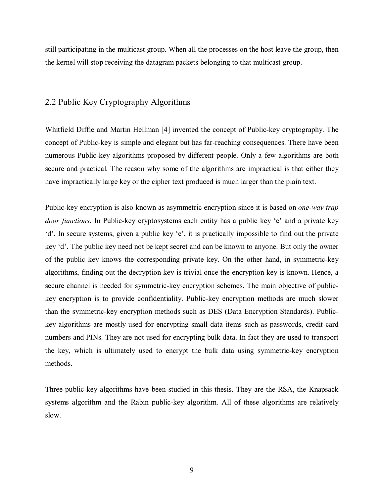still participating in the multicast group. When all the processes on the host leave the group, then the kernel will stop receiving the datagram packets belonging to that multicast group.

#### 2.2 Public Key Cryptography Algorithms

Whitfield Diffie and Martin Hellman [4] invented the concept of Public-key cryptography. The concept of Public-key is simple and elegant but has far-reaching consequences. There have been numerous Public-key algorithms proposed by different people. Only a few algorithms are both secure and practical. The reason why some of the algorithms are impractical is that either they have impractically large key or the cipher text produced is much larger than the plain text.

Public-key encryption is also known as asymmetric encryption since it is based on *one-way trap door functions*. In Public-key cryptosystems each entity has a public key 'e' and a private key  $d'$ . In secure systems, given a public key 'e', it is practically impossible to find out the private key 'd'. The public key need not be kept secret and can be known to anyone. But only the owner of the public key knows the corresponding private key. On the other hand, in symmetric-key algorithms, finding out the decryption key is trivial once the encryption key is known. Hence, a secure channel is needed for symmetric-key encryption schemes. The main objective of publickey encryption is to provide confidentiality. Public-key encryption methods are much slower than the symmetric-key encryption methods such as DES (Data Encryption Standards). Publickey algorithms are mostly used for encrypting small data items such as passwords, credit card numbers and PINs. They are not used for encrypting bulk data. In fact they are used to transport the key, which is ultimately used to encrypt the bulk data using symmetric-key encryption methods.

Three public-key algorithms have been studied in this thesis. They are the RSA, the Knapsack systems algorithm and the Rabin public-key algorithm. All of these algorithms are relatively slow.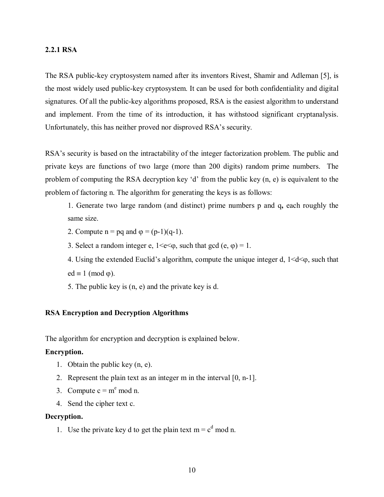#### **2.2.1 RSA**

The RSA public-key cryptosystem named after its inventors Rivest, Shamir and Adleman [5], is the most widely used public-key cryptosystem. It can be used for both confidentiality and digital signatures. Of all the public-key algorithms proposed, RSA is the easiest algorithm to understand and implement. From the time of its introduction, it has withstood significant cryptanalysis. Unfortunately, this has neither proved nor disproved RSA's security.

RSA's security is based on the intractability of the integer factorization problem. The public and private keys are functions of two large (more than 200 digits) random prime numbers. The problem of computing the RSA decryption key 'd' from the public key  $(n, e)$  is equivalent to the problem of factoring n. The algorithm for generating the keys is as follows:

1. Generate two large random (and distinct) prime numbers p and q**,** each roughly the same size.

- 2. Compute  $n = pq$  and  $\varphi = (p-1)(q-1)$ .
- 3. Select a random integer e,  $1 \le e \le \varphi$ , such that gcd  $(e, \varphi) = 1$ .
- 4. Using the extended Euclid's algorithm, compute the unique integer d,  $1 \le d \le \omega$ , such that  $ed \equiv 1 \pmod{\varphi}$ .
- 5. The public key is (n, e) and the private key is d.

#### **RSA Encryption and Decryption Algorithms**

The algorithm for encryption and decryption is explained below.

#### **Encryption.**

- 1. Obtain the public key (n, e).
- 2. Represent the plain text as an integer m in the interval [0, n-1].
- 3. Compute  $c = m^e \mod n$ .
- 4. Send the cipher text c.

#### **Decryption.**

1. Use the private key d to get the plain text  $m = c<sup>d</sup>$  mod n.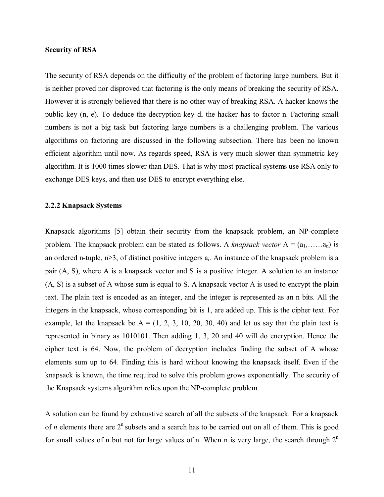#### **Security of RSA**

The security of RSA depends on the difficulty of the problem of factoring large numbers. But it is neither proved nor disproved that factoring is the only means of breaking the security of RSA. However it is strongly believed that there is no other way of breaking RSA. A hacker knows the public key (n, e). To deduce the decryption key d, the hacker has to factor n. Factoring small numbers is not a big task but factoring large numbers is a challenging problem. The various algorithms on factoring are discussed in the following subsection. There has been no known efficient algorithm until now. As regards speed, RSA is very much slower than symmetric key algorithm. It is 1000 times slower than DES. That is why most practical systems use RSA only to exchange DES keys, and then use DES to encrypt everything else.

#### **2.2.2 Knapsack Systems**

Knapsack algorithms [5] obtain their security from the knapsack problem, an NP-complete problem. The knapsack problem can be stated as follows. A *knapsack vector*  $A = (a_1, \ldots, a_n)$  is an ordered n-tuple, n≥3, of distinct positive integers  $a_i$ . An instance of the knapsack problem is a pair (A, S), where A is a knapsack vector and S is a positive integer. A solution to an instance (A, S) is a subset of A whose sum is equal to S. A knapsack vector A is used to encrypt the plain text. The plain text is encoded as an integer, and the integer is represented as an n bits. All the integers in the knapsack, whose corresponding bit is 1, are added up. This is the cipher text. For example, let the knapsack be  $A = (1, 2, 3, 10, 20, 30, 40)$  and let us say that the plain text is represented in binary as 1010101. Then adding 1, 3, 20 and 40 will do encryption. Hence the cipher text is 64. Now, the problem of decryption includes finding the subset of A whose elements sum up to 64. Finding this is hard without knowing the knapsack itself. Even if the knapsack is known, the time required to solve this problem grows exponentially. The security of the Knapsack systems algorithm relies upon the NP-complete problem.

A solution can be found by exhaustive search of all the subsets of the knapsack. For a knapsack of *n* elements there are  $2<sup>n</sup>$  subsets and a search has to be carried out on all of them. This is good for small values of n but not for large values of n. When n is very large, the search through  $2<sup>n</sup>$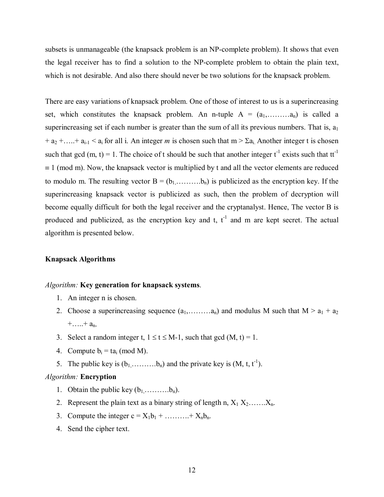subsets is unmanageable (the knapsack problem is an NP-complete problem). It shows that even the legal receiver has to find a solution to the NP-complete problem to obtain the plain text, which is not desirable. And also there should never be two solutions for the knapsack problem.

There are easy variations of knapsack problem. One of those of interest to us is a superincreasing set, which constitutes the knapsack problem. An n-tuple  $A = (a_1, \ldots, a_n)$  is called a superincreasing set if each number is greater than the sum of all its previous numbers. That is,  $a_1$  $+ a_2 + \ldots + a_{i-1} < a_i$  for all i. An integer *m* is chosen such that  $m > \sum a_i$ . Another integer t is chosen such that gcd (m, t) = 1. The choice of t should be such that another integer  $t^{-1}$  exists such that  $tt^{-1}$ ≡ 1 (mod m). Now, the knapsack vector is multiplied by t and all the vector elements are reduced to modulo m. The resulting vector  $B = (b_1, \ldots, b_n)$  is publicized as the encryption key. If the superincreasing knapsack vector is publicized as such, then the problem of decryption will become equally difficult for both the legal receiver and the cryptanalyst. Hence, The vector B is produced and publicized, as the encryption key and t,  $t^{-1}$  and m are kept secret. The actual algorithm is presented below.

#### **Knapsack Algorithms**

#### *Algorithm:* **Key generation for knapsack systems**.

- 1. An integer n is chosen.
- 2. Choose a superincreasing sequence  $(a_1, \ldots, a_n)$  and modulus M such that  $M > a_1 + a_2$  $+....+ a_n.$
- 3. Select a random integer t,  $1 \le t \le M-1$ , such that gcd  $(M, t) = 1$ .
- 4. Compute  $b_i = ta_i \pmod{M}$ .
- 5. The public key is  $(b_1, \ldots, b_n)$  and the private key is  $(M, t, t^{-1})$ .

#### *Algorithm:* **Encryption**

- 1. Obtain the public key  $(b_1, \ldots, b_n)$ .
- 2. Represent the plain text as a binary string of length n,  $X_1 X_2$ ....... $X_n$ .
- 3. Compute the integer  $c = X_1b_1 + \dots + X_nb_n$ .
- 4. Send the cipher text.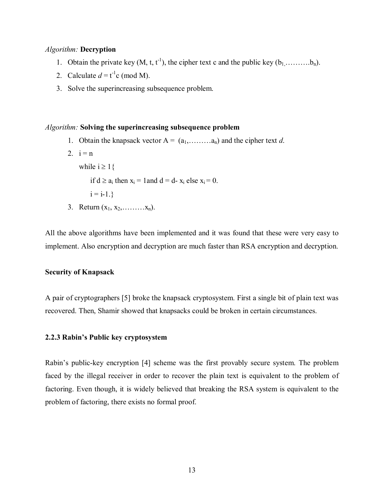#### *Algorithm:* **Decryption**

- 1. Obtain the private key  $(M, t, t^{-1})$ , the cipher text c and the public key  $(b_1, \ldots, b_n)$ .
- 2. Calculate  $d = t^{-1}c \pmod{M}$ .
- 3. Solve the superincreasing subsequence problem.

#### *Algorithm:* **Solving the superincreasing subsequence problem**

- 1. Obtain the knapsack vector  $A = (a_1, \ldots, a_n)$  and the cipher text *d*.
- 2.  $i = n$ while  $i \geq 1$  { if  $d \ge a_i$ ; then  $x_i = 1$  and  $d = d$ -  $x_i$  else  $x_i = 0$ .  $i = i-1.$ 3. Return  $(x_1, x_2, \ldots, x_n)$ .

All the above algorithms have been implemented and it was found that these were very easy to implement. Also encryption and decryption are much faster than RSA encryption and decryption.

#### **Security of Knapsack**

A pair of cryptographers [5] broke the knapsack cryptosystem. First a single bit of plain text was recovered. Then, Shamir showed that knapsacks could be broken in certain circumstances.

#### **2.2.3 Rabinís Public key cryptosystem**

Rabin's public-key encryption [4] scheme was the first provably secure system. The problem faced by the illegal receiver in order to recover the plain text is equivalent to the problem of factoring. Even though, it is widely believed that breaking the RSA system is equivalent to the problem of factoring, there exists no formal proof.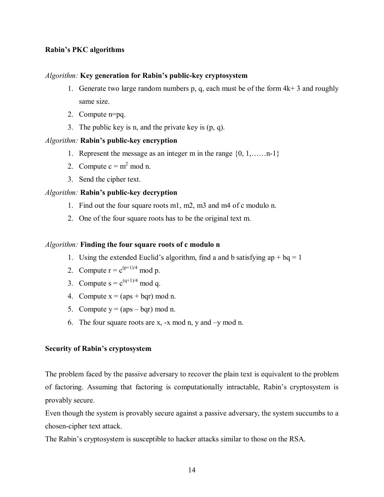#### **Rabinís PKC algorithms**

#### *Algorithm:* Key generation for Rabin's public-key cryptosystem

- 1. Generate two large random numbers p, q, each must be of the form  $4k+3$  and roughly same size.
- 2. Compute n=pq.
- 3. The public key is n, and the private key is (p, q).

#### Algorithm: **Rabin's public-key encryption**

- 1. Represent the message as an integer m in the range  $\{0, 1, \ldots, n-1\}$
- 2. Compute  $c = m^2$  mod n.
- 3. Send the cipher text.

#### *Algorithm:* **Rabin's public-key decryption**

- 1. Find out the four square roots m1, m2, m3 and m4 of c modulo n.
- 2. One of the four square roots has to be the original text m.

#### *Algorithm:* **Finding the four square roots of c modulo n**

- 1. Using the extended Euclid's algorithm, find a and b satisfying ap + bq = 1
- 2. Compute  $r = c^{(p+1)/4} \mod p$ .
- 3. Compute  $s = c^{(q+1)/4} \mod q$ .
- 4. Compute  $x = (aps + bqr) \text{ mod } n$ .
- 5. Compute  $y = (aps bqr) \text{ mod } n$ .
- 6. The four square roots are x,  $-x \mod n$ , y and  $-y \mod n$ .

#### **Security of Rabin's cryptosystem**

The problem faced by the passive adversary to recover the plain text is equivalent to the problem of factoring. Assuming that factoring is computationally intractable, Rabin's cryptosystem is provably secure.

Even though the system is provably secure against a passive adversary, the system succumbs to a chosen-cipher text attack.

The Rabin's cryptosystem is susceptible to hacker attacks similar to those on the RSA.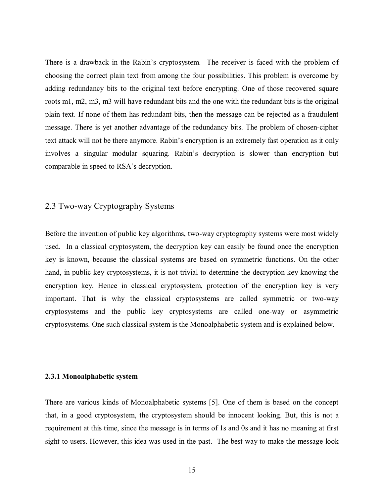There is a drawback in the Rabin's cryptosystem. The receiver is faced with the problem of choosing the correct plain text from among the four possibilities. This problem is overcome by adding redundancy bits to the original text before encrypting. One of those recovered square roots m1, m2, m3, m3 will have redundant bits and the one with the redundant bits is the original plain text. If none of them has redundant bits, then the message can be rejected as a fraudulent message. There is yet another advantage of the redundancy bits. The problem of chosen-cipher text attack will not be there anymore. Rabin's encryption is an extremely fast operation as it only involves a singular modular squaring. Rabin's decryption is slower than encryption but comparable in speed to RSA's decryption.

#### 2.3 Two-way Cryptography Systems

Before the invention of public key algorithms, two-way cryptography systems were most widely used. In a classical cryptosystem, the decryption key can easily be found once the encryption key is known, because the classical systems are based on symmetric functions. On the other hand, in public key cryptosystems, it is not trivial to determine the decryption key knowing the encryption key. Hence in classical cryptosystem, protection of the encryption key is very important. That is why the classical cryptosystems are called symmetric or two-way cryptosystems and the public key cryptosystems are called one-way or asymmetric cryptosystems. One such classical system is the Monoalphabetic system and is explained below.

#### **2.3.1 Monoalphabetic system**

There are various kinds of Monoalphabetic systems [5]. One of them is based on the concept that, in a good cryptosystem, the cryptosystem should be innocent looking. But, this is not a requirement at this time, since the message is in terms of 1s and 0s and it has no meaning at first sight to users. However, this idea was used in the past. The best way to make the message look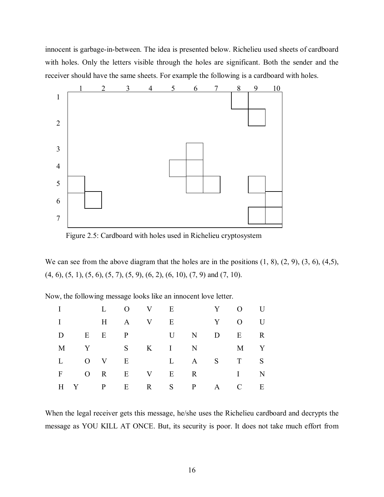innocent is garbage-in-between. The idea is presented below. Richelieu used sheets of cardboard with holes. Only the letters visible through the holes are significant. Both the sender and the receiver should have the same sheets. For example the following is a cardboard with holes.



Figure 2.5: Cardboard with holes used in Richelieu cryptosystem

We can see from the above diagram that the holes are in the positions  $(1, 8)$ ,  $(2, 9)$ ,  $(3, 6)$ ,  $(4,5)$ ,  $(4, 6)$ ,  $(5, 1)$ ,  $(5, 6)$ ,  $(5, 7)$ ,  $(5, 9)$ ,  $(6, 2)$ ,  $(6, 10)$ ,  $(7, 9)$  and  $(7, 10)$ .

Now, the following message looks like an innocent love letter.

|              |  | L O V E |  |             |   | Y O U           |             |
|--------------|--|---------|--|-------------|---|-----------------|-------------|
|              |  |         |  | $H$ A V E   | Y | $\mathbf{0}$ U  |             |
| D            |  |         |  | E E P U N   | D | $E$ and $E$     | $\mathbf R$ |
|              |  |         |  | M Y S K I N |   | M Y             |             |
| $\mathbf{L}$ |  |         |  |             |   | O V E L A S T S |             |
| $F \sim$     |  |         |  |             |   | ORE VERIN       |             |
|              |  | H Y P E |  |             |   | $R$ S P A C     | E           |

When the legal receiver gets this message, he/she uses the Richelieu cardboard and decrypts the message as YOU KILL AT ONCE. But, its security is poor. It does not take much effort from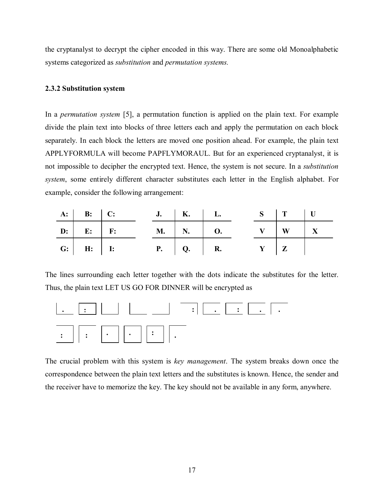the cryptanalyst to decrypt the cipher encoded in this way. There are some old Monoalphabetic systems categorized as *substitution* and *permutation systems.* 

#### **2.3.2 Substitution system**

In a *permutation system* [5], a permutation function is applied on the plain text. For example divide the plain text into blocks of three letters each and apply the permutation on each block separately. In each block the letters are moved one position ahead. For example, the plain text APPLYFORMULA will become PAPFLYMORAUL. But for an experienced cryptanalyst, it is not impossible to decipher the encrypted text. Hence, the system is not secure. In a *substitution system*, some entirely different character substitutes each letter in the English alphabet. For example, consider the following arrangement:

|  |                   | $\mathbf{A}$ : $\mathbf{B}$ : $\mathbf{C}$ : |  | $J.$   K.   L. |  | $S \mid T \mid U$ |  |
|--|-------------------|----------------------------------------------|--|----------------|--|-------------------|--|
|  |                   | $\mathbf{D}:$ E: F: M. N. O.                 |  |                |  | $V$   W   X       |  |
|  | $G:$ $H:$ $H:$ I: |                                              |  | $P.$ $Q.$ $R.$ |  |                   |  |

The lines surrounding each letter together with the dots indicate the substitutes for the letter. Thus, the plain text LET US GO FOR DINNER will be encrypted as



The crucial problem with this system is *key management*. The system breaks down once the correspondence between the plain text letters and the substitutes is known. Hence, the sender and the receiver have to memorize the key. The key should not be available in any form, anywhere.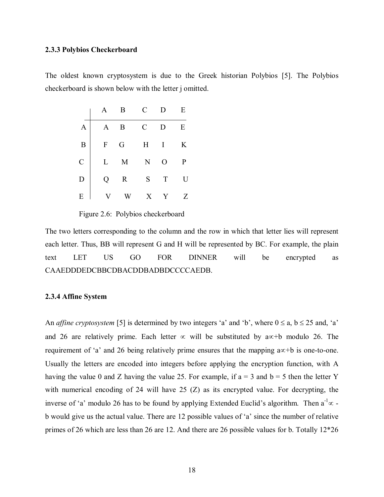#### **2.3.3 Polybios Checkerboard**

The oldest known cryptosystem is due to the Greek historian Polybios [5]. The Polybios checkerboard is shown below with the letter j omitted.

| $\begin{tabular}{c cccccc} & A & B & C & D & E \\ \hline A & A & B & C & D & E \\ B & F & G & H & I & K \\ C & L & M & N & O & P \\ D & Q & R & S & T & U \\ E & V & W & X & Y & Z \end{tabular}$ |  |  |
|---------------------------------------------------------------------------------------------------------------------------------------------------------------------------------------------------|--|--|
|                                                                                                                                                                                                   |  |  |
|                                                                                                                                                                                                   |  |  |
|                                                                                                                                                                                                   |  |  |

Figure 2.6: Polybios checkerboard

The two letters corresponding to the column and the row in which that letter lies will represent each letter. Thus, BB will represent G and H will be represented by BC. For example, the plain text LET US GO FOR DINNER will be encrypted as CAAEDDDEDCBBCDBACDDBADBDCCCCAEDB.

#### **2.3.4 Affine System**

An *affine cryptosystem* [5] is determined by two integers 'a' and 'b', where  $0 \le a, b \le 25$  and, 'a' and 26 are relatively prime. Each letter ∝ will be substituted by a∝+b modulo 26. The requirement of 'a' and 26 being relatively prime ensures that the mapping  $a\infty+b$  is one-to-one. Usually the letters are encoded into integers before applying the encryption function, with A having the value 0 and Z having the value 25. For example, if  $a = 3$  and  $b = 5$  then the letter Y with numerical encoding of 24 will have 25 (Z) as its encrypted value. For decrypting, the inverse of 'a' modulo 26 has to be found by applying Extended Euclid's algorithm. Then  $a^{-1} \infty$  b would give us the actual value. There are 12 possible values of 'a' since the number of relative primes of 26 which are less than 26 are 12. And there are 26 possible values for b. Totally 12\*26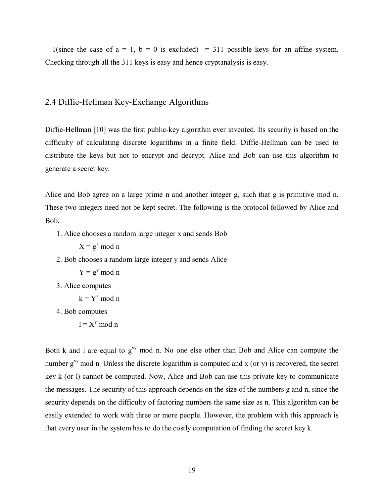$-1$ (since the case of a = 1, b = 0 is excluded) = 311 possible keys for an affine system. Checking through all the 311 keys is easy and hence cryptanalysis is easy.

#### 2.4 Diffie-Hellman Key-Exchange Algorithms

Diffie-Hellman [10] was the first public-key algorithm ever invented. Its security is based on the difficulty of calculating discrete logarithms in a finite field. Diffie-Hellman can be used to distribute the keys but not to encrypt and decrypt. Alice and Bob can use this algorithm to generate a secret key.

Alice and Bob agree on a large prime n and another integer g, such that g is primitive mod n. These two integers need not be kept secret. The following is the protocol followed by Alice and Bob.

1. Alice chooses a random large integer x and sends Bob

 $X = g^x \mod n$ 

2. Bob chooses a random large integer y and sends Alice

 $Y = g^y \mod n$ 

3. Alice computes

 $k = Y^x \mod n$ 

4. Bob computes

 $l = X^y \mod n$ 

Both k and l are equal to  $g^{xy}$  mod n. No one else other than Bob and Alice can compute the number  $g^{xy}$  mod n. Unless the discrete logarithm is computed and x (or y) is recovered, the secret key k (or l) cannot be computed. Now, Alice and Bob can use this private key to communicate the messages. The security of this approach depends on the size of the numbers g and n, since the security depends on the difficulty of factoring numbers the same size as n. This algorithm can be easily extended to work with three or more people. However, the problem with this approach is that every user in the system has to do the costly computation of finding the secret key k.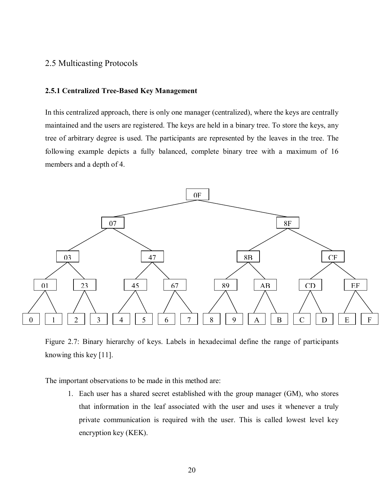#### 2.5 Multicasting Protocols

#### **2.5.1 Centralized Tree-Based Key Management**

In this centralized approach, there is only one manager (centralized), where the keys are centrally maintained and the users are registered. The keys are held in a binary tree. To store the keys, any tree of arbitrary degree is used. The participants are represented by the leaves in the tree. The following example depicts a fully balanced, complete binary tree with a maximum of 16 members and a depth of 4.



Figure 2.7: Binary hierarchy of keys. Labels in hexadecimal define the range of participants knowing this key [11].

The important observations to be made in this method are:

1. Each user has a shared secret established with the group manager (GM), who stores that information in the leaf associated with the user and uses it whenever a truly private communication is required with the user. This is called lowest level key encryption key (KEK).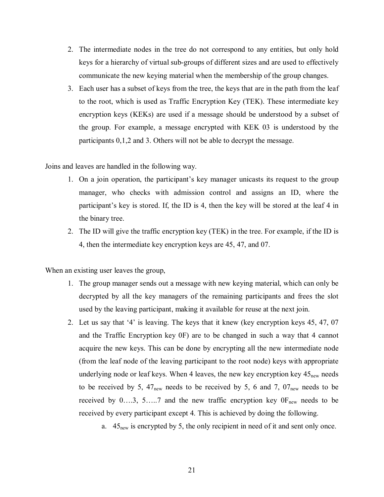- 2. The intermediate nodes in the tree do not correspond to any entities, but only hold keys for a hierarchy of virtual sub-groups of different sizes and are used to effectively communicate the new keying material when the membership of the group changes.
- 3. Each user has a subset of keys from the tree, the keys that are in the path from the leaf to the root, which is used as Traffic Encryption Key (TEK). These intermediate key encryption keys (KEKs) are used if a message should be understood by a subset of the group. For example, a message encrypted with KEK 03 is understood by the participants 0,1,2 and 3. Others will not be able to decrypt the message.

Joins and leaves are handled in the following way.

- 1. On a join operation, the participant's key manager unicasts its request to the group manager, who checks with admission control and assigns an ID, where the participant's key is stored. If, the ID is 4, then the key will be stored at the leaf  $4$  in the binary tree.
- 2. The ID will give the traffic encryption key (TEK) in the tree. For example, if the ID is 4, then the intermediate key encryption keys are 45, 47, and 07.

When an existing user leaves the group,

- 1. The group manager sends out a message with new keying material, which can only be decrypted by all the key managers of the remaining participants and frees the slot used by the leaving participant, making it available for reuse at the next join.
- 2. Let us say that '4' is leaving. The keys that it knew (key encryption keys 45, 47, 07 and the Traffic Encryption key 0F) are to be changed in such a way that 4 cannot acquire the new keys. This can be done by encrypting all the new intermediate node (from the leaf node of the leaving participant to the root node) keys with appropriate underlying node or leaf keys. When 4 leaves, the new key encryption key  $45_{\text{new}}$  needs to be received by 5,  $47_{\text{new}}$  needs to be received by 5, 6 and 7,  $07_{\text{new}}$  needs to be received by  $0...3$ , 5 $..., 7$  and the new traffic encryption key  $0F_{new}$  needs to be received by every participant except 4. This is achieved by doing the following.
	- a.  $45<sub>new</sub>$  is encrypted by 5, the only recipient in need of it and sent only once.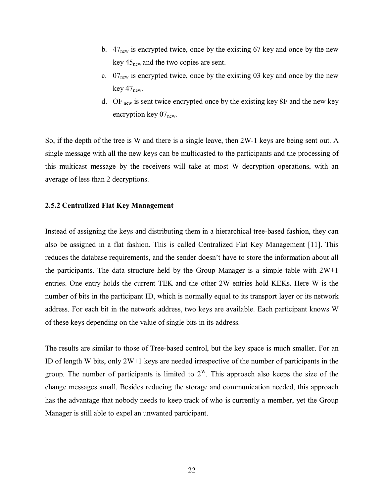- b.  $47_{\text{new}}$  is encrypted twice, once by the existing 67 key and once by the new key  $45_{\text{new}}$  and the two copies are sent.
- c.  $07_{\text{new}}$  is encrypted twice, once by the existing 03 key and once by the new key  $47_{\text{new}}$ .
- d. OF new is sent twice encrypted once by the existing key 8F and the new key encryption key  $07_{\text{new}}$ .

So, if the depth of the tree is W and there is a single leave, then 2W-1 keys are being sent out. A single message with all the new keys can be multicasted to the participants and the processing of this multicast message by the receivers will take at most W decryption operations, with an average of less than 2 decryptions.

#### **2.5.2 Centralized Flat Key Management**

Instead of assigning the keys and distributing them in a hierarchical tree-based fashion, they can also be assigned in a flat fashion. This is called Centralized Flat Key Management [11]. This reduces the database requirements, and the sender doesn't have to store the information about all the participants. The data structure held by the Group Manager is a simple table with  $2W+1$ entries. One entry holds the current TEK and the other 2W entries hold KEKs. Here W is the number of bits in the participant ID, which is normally equal to its transport layer or its network address. For each bit in the network address, two keys are available. Each participant knows W of these keys depending on the value of single bits in its address.

The results are similar to those of Tree-based control, but the key space is much smaller. For an ID of length W bits, only 2W+1 keys are needed irrespective of the number of participants in the group. The number of participants is limited to  $2^W$ . This approach also keeps the size of the change messages small. Besides reducing the storage and communication needed, this approach has the advantage that nobody needs to keep track of who is currently a member, yet the Group Manager is still able to expel an unwanted participant.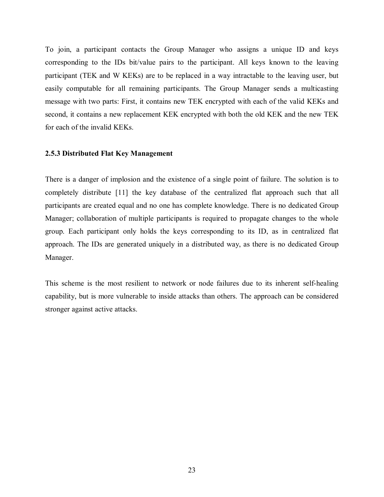To join, a participant contacts the Group Manager who assigns a unique ID and keys corresponding to the IDs bit/value pairs to the participant. All keys known to the leaving participant (TEK and W KEKs) are to be replaced in a way intractable to the leaving user, but easily computable for all remaining participants. The Group Manager sends a multicasting message with two parts: First, it contains new TEK encrypted with each of the valid KEKs and second, it contains a new replacement KEK encrypted with both the old KEK and the new TEK for each of the invalid KEKs.

#### **2.5.3 Distributed Flat Key Management**

There is a danger of implosion and the existence of a single point of failure. The solution is to completely distribute [11] the key database of the centralized flat approach such that all participants are created equal and no one has complete knowledge. There is no dedicated Group Manager; collaboration of multiple participants is required to propagate changes to the whole group. Each participant only holds the keys corresponding to its ID, as in centralized flat approach. The IDs are generated uniquely in a distributed way, as there is no dedicated Group Manager.

This scheme is the most resilient to network or node failures due to its inherent self-healing capability, but is more vulnerable to inside attacks than others. The approach can be considered stronger against active attacks.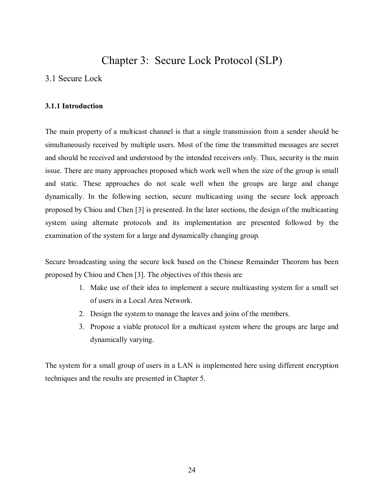## Chapter 3: Secure Lock Protocol (SLP)

#### 3.1 Secure Lock

#### **3.1.1 Introduction**

The main property of a multicast channel is that a single transmission from a sender should be simultaneously received by multiple users. Most of the time the transmitted messages are secret and should be received and understood by the intended receivers only. Thus, security is the main issue. There are many approaches proposed which work well when the size of the group is small and static. These approaches do not scale well when the groups are large and change dynamically. In the following section, secure multicasting using the secure lock approach proposed by Chiou and Chen [3] is presented. In the later sections, the design of the multicasting system using alternate protocols and its implementation are presented followed by the examination of the system for a large and dynamically changing group.

Secure broadcasting using the secure lock based on the Chinese Remainder Theorem has been proposed by Chiou and Chen [3]. The objectives of this thesis are

- 1. Make use of their idea to implement a secure multicasting system for a small set of users in a Local Area Network.
- 2. Design the system to manage the leaves and joins of the members.
- 3. Propose a viable protocol for a multicast system where the groups are large and dynamically varying.

The system for a small group of users in a LAN is implemented here using different encryption techniques and the results are presented in Chapter 5.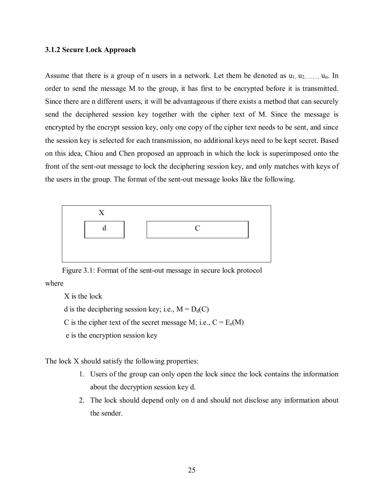#### **3.1.2 Secure Lock Approach**

Assume that there is a group of n users in a network. Let them be denoted as  $u_1, u_2, \ldots, u_n$ . In order to send the message M to the group, it has first to be encrypted before it is transmitted. Since there are n different users, it will be advantageous if there exists a method that can securely send the deciphered session key together with the cipher text of M. Since the message is encrypted by the encrypt session key, only one copy of the cipher text needs to be sent, and since the session key is selected for each transmission, no additional keys need to be kept secret. Based on this idea, Chiou and Chen proposed an approach in which the lock is superimposed onto the front of the sent-out message to lock the deciphering session key, and only matches with keys of the users in the group. The format of the sent-out message looks like the following.



Figure 3.1: Format of the sent-out message in secure lock protocol where

X is the lock

d is the deciphering session key; i.e.,  $M = D_d(C)$ 

C is the cipher text of the secret message M; i.e.,  $C = E_e(M)$ 

e is the encryption session key

The lock X should satisfy the following properties:

- 1. Users of the group can only open the lock since the lock contains the information about the decryption session key d.
- 2. The lock should depend only on d and should not disclose any information about the sender.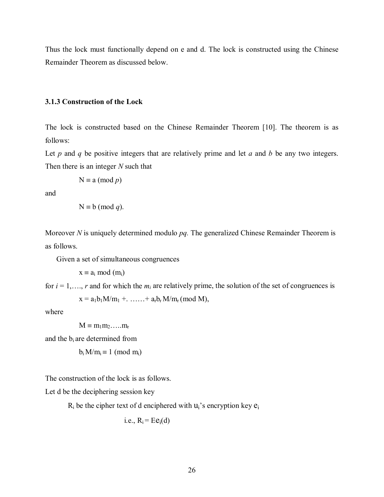Thus the lock must functionally depend on e and d. The lock is constructed using the Chinese Remainder Theorem as discussed below.

#### **3.1.3 Construction of the Lock**

The lock is constructed based on the Chinese Remainder Theorem [10]. The theorem is as follows:

Let  $p$  and  $q$  be positive integers that are relatively prime and let  $q$  and  $b$  be any two integers. Then there is an integer *N* such that

$$
N \equiv a \pmod{p}
$$

and

$$
N \equiv b \pmod{q}
$$
.

Moreover *N* is uniquely determined modulo *pq.* The generalized Chinese Remainder Theorem is as follows.

Given a set of simultaneous congruences

 $x \equiv a_i \mod(m_i)$ 

for  $i = 1, \ldots, r$  and for which the  $m_i$  are relatively prime, the solution of the set of congruences is  $x = a_1b_1M/m_1 + \ldots + a_rb_rM/m_r \pmod{M}$ ,

where

 $M \equiv m_1 m_2 \dots m_r$ 

and the bi are determined from

$$
b_i\,M/m_i\equiv 1\ (mod\ m_i)
$$

The construction of the lock is as follows.

Let d be the deciphering session key

 $R_i$  be the cipher text of d enciphered with  $u_i$ 's encryption key  $e_i$ 

i.e., 
$$
R_i = Ee_i(d)
$$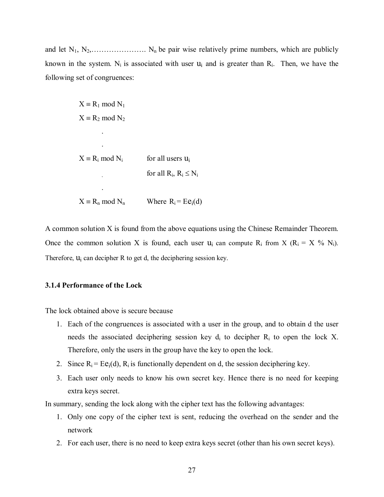and let  $N_1, N_2, \ldots, N_n$  be pair wise relatively prime numbers, which are publicly known in the system. N<sub>i</sub> is associated with user  $u_i$  and is greater than  $R_i$ . Then, we have the following set of congruences:

$$
X \equiv R_1 \mod N_1
$$
  
\n
$$
X \equiv R_2 \mod N_2
$$
  
\n
$$
\vdots
$$
  
\n
$$
X \equiv R_i \mod N_i \qquad \text{for all users } u_i
$$
  
\nfor all  $R_i, R_i \leq N_i$ 

 $X = R_n \text{ mod } N_n$  Where  $R_i = Ee_i(d)$ 

A common solution X is found from the above equations using the Chinese Remainder Theorem. Once the common solution X is found, each user  $u_i$  can compute  $R_i$  from X ( $R_i = X \% N_i$ ). Therefore,  $u_i$  can decipher R to get d, the deciphering session key.

#### **3.1.4 Performance of the Lock**

The lock obtained above is secure because

- 1. Each of the congruences is associated with a user in the group, and to obtain d the user needs the associated deciphering session key  $d_i$  to decipher  $R_i$  to open the lock X. Therefore, only the users in the group have the key to open the lock.
- 2. Since  $R_i = Ee_i(d)$ ,  $R_i$  is functionally dependent on d, the session deciphering key.
- 3. Each user only needs to know his own secret key. Hence there is no need for keeping extra keys secret.

In summary, sending the lock along with the cipher text has the following advantages:

- 1. Only one copy of the cipher text is sent, reducing the overhead on the sender and the network
- 2. For each user, there is no need to keep extra keys secret (other than his own secret keys).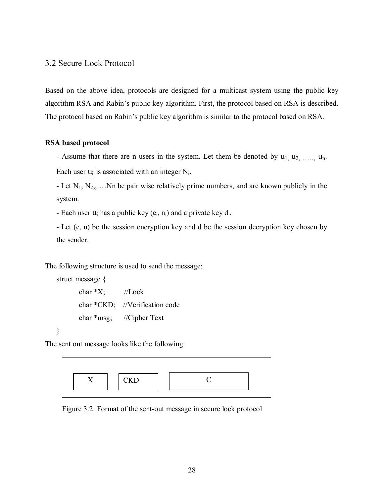#### 3.2 Secure Lock Protocol

Based on the above idea, protocols are designed for a multicast system using the public key algorithm RSA and Rabin's public key algorithm. First, the protocol based on RSA is described. The protocol based on Rabin's public key algorithm is similar to the protocol based on RSA.

#### **RSA based protocol**

- Assume that there are n users in the system. Let them be denoted by  $u_1, u_2, \ldots, u_n$ . Each user  $u_i$  is associated with an integer  $N_i$ .

- Let  $N_1, N_2, \ldots$  Nn be pair wise relatively prime numbers, and are known publicly in the system.

- Each user  $u_i$  has a public key  $(e_i, n_i)$  and a private key  $d_i$ .

- Let (e, n) be the session encryption key and d be the session decryption key chosen by the sender.

The following structure is used to send the message:

```
struct message { 
char *X; //Lock
 char *CKD; //Verification code 
 char *msg; //Cipher Text
```
The sent out message looks like the following.

}



Figure 3.2: Format of the sent-out message in secure lock protocol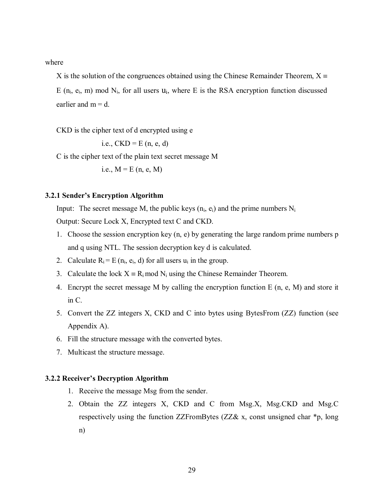where

X is the solution of the congruences obtained using the Chinese Remainder Theorem,  $X \equiv$ E  $(n_i, e_i, m)$  mod  $N_i$ , for all users  $u_i$ , where E is the RSA encryption function discussed earlier and  $m = d$ .

CKD is the cipher text of d encrypted using e

i.e.,  $CKD = E$  (n, e, d)

C is the cipher text of the plain text secret message M

i.e.,  $M = E (n, e, M)$ 

#### **3.2.1 Sender's Encryption Algorithm**

Input: The secret message M, the public keys  $(n_i, e_i)$  and the prime numbers  $N_i$ 

Output: Secure Lock X, Encrypted text C and CKD.

- 1. Choose the session encryption key (n, e) by generating the large random prime numbers p and q using NTL. The session decryption key d is calculated.
- 2. Calculate  $R_i = E(n_i, e_i, d)$  for all users  $u_i$  in the group.
- 3. Calculate the lock  $X = R_i \text{ mod } N_i$  using the Chinese Remainder Theorem.
- 4. Encrypt the secret message M by calling the encryption function E (n, e, M) and store it in C.
- 5. Convert the ZZ integers X, CKD and C into bytes using BytesFrom (ZZ) function (see Appendix A).
- 6. Fill the structure message with the converted bytes.
- 7. Multicast the structure message.

#### **3.2.2 Receiver's Decryption Algorithm**

- 1. Receive the message Msg from the sender.
- 2. Obtain the ZZ integers X, CKD and C from Msg.X, Msg.CKD and Msg.C respectively using the function ZZFromBytes (ZZ& x, const unsigned char \*p, long n)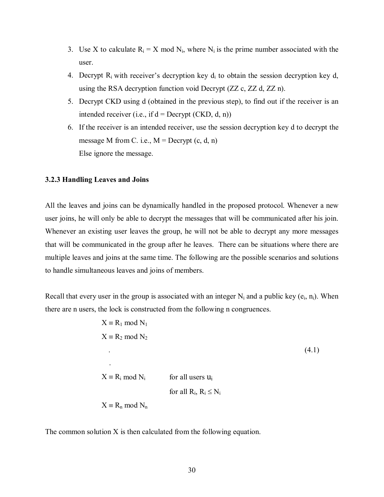- 3. Use X to calculate  $R_i = X \text{ mod } N_i$ , where  $N_i$  is the prime number associated with the user.
- 4. Decrypt  $R_i$  with receiver's decryption key  $d_i$  to obtain the session decryption key d, using the RSA decryption function void Decrypt (ZZ c, ZZ d, ZZ n).
- 5. Decrypt CKD using d (obtained in the previous step), to find out if the receiver is an intended receiver (i.e., if  $d =$  Decrypt (CKD, d, n))
- 6. If the receiver is an intended receiver, use the session decryption key d to decrypt the message M from C. i.e.,  $M =$  Decrypt  $(c, d, n)$ Else ignore the message.

## **3.2.3 Handling Leaves and Joins**

All the leaves and joins can be dynamically handled in the proposed protocol. Whenever a new user joins, he will only be able to decrypt the messages that will be communicated after his join. Whenever an existing user leaves the group, he will not be able to decrypt any more messages that will be communicated in the group after he leaves. There can be situations where there are multiple leaves and joins at the same time. The following are the possible scenarios and solutions to handle simultaneous leaves and joins of members.

Recall that every user in the group is associated with an integer  $N_i$  and a public key ( $e_i$ ,  $n_i$ ). When there are n users, the lock is constructed from the following n congruences.

$$
X \equiv R_1 \mod N_1
$$
  
\n
$$
X \equiv R_2 \mod N_2
$$
  
\n
$$
\vdots
$$
  
\n
$$
X \equiv R_i \mod N_i
$$
 for all users  $u_i$   
\nfor all  $R_i, R_i \le N_i$   
\n
$$
X \equiv R_n \mod N_n
$$

The common solution X is then calculated from the following equation.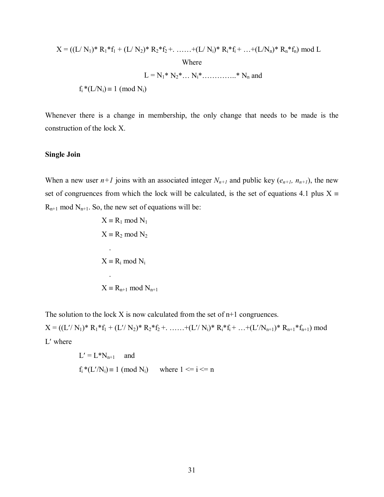$$
X = ((L/N_1)^* R_1 * f_1 + (L/N_2)^* R_2 * f_2 + \dots + (L/N_i)^* R_i * f_i + \dots + (L/N_n)^* R_n * f_n) \text{ mod } L
$$
  
Where  

$$
L = N_1 * N_2 * \dots N_i * \dots \dots * N_n \text{ and}
$$

$$
f_i * (L/N_i) \equiv 1 \pmod{N_i}
$$

Whenever there is a change in membership, the only change that needs to be made is the construction of the lock X.

#### **Single Join**

When a new user  $n+1$  joins with an associated integer  $N_{n+1}$  and public key ( $e_{n+1}$ ,  $n_{n+1}$ ), the new set of congruences from which the lock will be calculated, is the set of equations 4.1 plus  $X \equiv$  $R_{n+1}$  mod  $N_{n+1}$ . So, the new set of equations will be:

$$
X \equiv R_1 \mod N_1
$$
  
\n
$$
X \equiv R_2 \mod N_2
$$
  
\n
$$
\therefore
$$
  
\n
$$
X \equiv R_i \mod N_i
$$
  
\n
$$
\therefore
$$
  
\n
$$
X \equiv R_{n+1} \mod N_{n+1}
$$

The solution to the lock X is now calculated from the set of n+1 congruences.

 $X = ((L'/ N_1)^* R_1 * f_1 + (L'/ N_2)^* R_2 * f_2 + \ldots + (L'/ N_i)^* R_i * f_i + \ldots + (L'/ N_{n+1})^* R_{n+1} * f_{n+1}) \text{ mod }$ L′ where

$$
L' = L^*N_{n+1} \quad \text{and}
$$
  

$$
f_i^*(L'/N_i) \equiv 1 \pmod{N_i} \quad \text{where } 1 \le i \le n
$$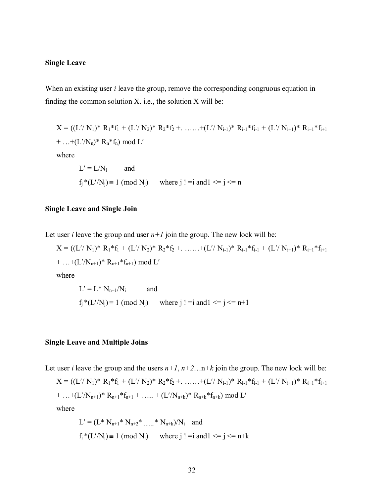### **Single Leave**

When an existing user *i* leave the group, remove the corresponding congruous equation in finding the common solution  $X$ . i.e., the solution  $X$  will be:

$$
X = ((L'/ N_1)^* R_1^* f_1 + (L'/ N_2)^* R_2^* f_2 + \dots + (L'/ N_{i-1})^* R_{i-1}^* f_{i-1} + (L'/ N_{i+1})^* R_{i+1}^* f_{i+1}
$$
  
+ ...+(L'/ N\_n)^\* R\_n^\* f\_n) mod L'  
where  

$$
L' = L/N_i \qquad \text{and}
$$
  
 $f_j^*(L'/N_j) \equiv 1 \pmod{N_j} \qquad \text{where } j! = i \text{ and } l \le j \le n$ 

### **Single Leave and Single Join**

Let user *i* leave the group and user  $n+1$  join the group. The new lock will be:

$$
X = ((L'/ N_1)^* R_1^* f_1 + (L'/ N_2)^* R_2^* f_2 + \dots + (L'/ N_{i-1})^* R_{i-1}^* f_{i-1} + (L'/ N_{i+1})^* R_{i+1}^* f_{i+1}
$$
  
+ ...+(L'/ N\_{n+1})^\* R\_{n+1}^\* f\_{n+1}) mod L'  
where  

$$
L' = L^* N_{n+1}/N_i
$$
 and

$$
f_j^*(L'/N_j) \equiv 1 \pmod{N_j}
$$
 where  $j! = i$  and  $1 \le j \le n+1$ 

### **Single Leave and Multiple Joins**

Let user *i* leave the group and the users  $n+1$ ,  $n+2$ ...  $n+k$  join the group. The new lock will be:

 $X = ((L'/ N_1)^* R_1 * f_1 + (L'/ N_2)^* R_2 * f_2 + \ldots + (L'/ N_{i-1})^* R_{i-1} * f_{i-1} + (L'/ N_{i+1})^* R_{i+1} * f_{i+1}$ + ...+(L'/N<sub>n+1</sub>)\* R<sub>n+1</sub>\*f<sub>n+1</sub> + ..... + (L'/N<sub>n+k</sub>)\* R<sub>n+k</sub>\*f<sub>n+k</sub>) mod L' where

$$
L' = (L^* N_{n+1}^* N_{n+2}^* \dots \dots \cdot N_{n+k})/N_i \text{ and}
$$
  
f<sub>j</sub><sup>\*</sup> $(L'/N_j) \equiv 1 \pmod{N_j}$  where j! = i and l  $\le j \le n+k$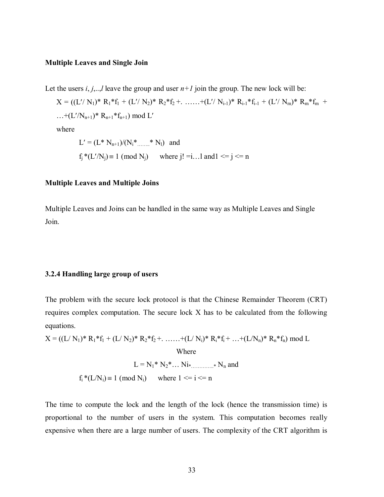### **Multiple Leaves and Single Join**

Let the users  $i, j, \ldots, l$  leave the group and user  $n+1$  join the group. The new lock will be:

 $X = ((L'/ N_1)^* R_1 * f_1 + (L'/ N_2)^* R_2 * f_2 + \ldots + (L'/ N_{i-1})^* R_{i-1} * f_{i-1} + (L'/ N_m)^* R_m * f_m$  +  $\dots+(L'/N_{n+1})^* R_{n+1}^*f_{n+1}$  mod  $L'$ where

$$
L' = (L^* N_{n+1})/(N_i^* \dots * N_l) \text{ and}
$$
  
f<sub>j</sub> $* (L'/N_j) \equiv 1 \pmod{N_j}$  where j! =i...l and l  $\le j \le n$ 

### **Multiple Leaves and Multiple Joins**

Multiple Leaves and Joins can be handled in the same way as Multiple Leaves and Single Join.

### **3.2.4 Handling large group of users**

The problem with the secure lock protocol is that the Chinese Remainder Theorem (CRT) requires complex computation. The secure lock X has to be calculated from the following equations.

$$
X = ((L/N_1)^* R_1^* f_1 + (L/N_2)^* R_2^* f_2 + \dots + (L/N_i)^* R_i^* f_i + \dots + (L/N_n)^* R_n^* f_n) \text{ mod } L
$$
  
Where  

$$
L = N_1^* N_2^* \dots N_{i*} \dots \dots * N_n \text{ and}
$$

$$
f_i^*(L/N_i) \equiv 1 \text{ (mod } N_i) \text{ where } 1 \le i \le n
$$

The time to compute the lock and the length of the lock (hence the transmission time) is proportional to the number of users in the system. This computation becomes really expensive when there are a large number of users. The complexity of the CRT algorithm is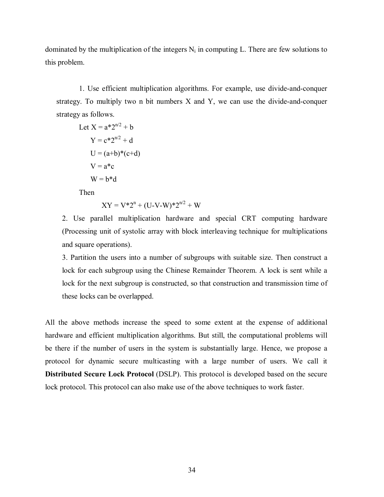dominated by the multiplication of the integers  $N_i$  in computing L. There are few solutions to this problem.

1. Use efficient multiplication algorithms. For example, use divide-and-conquer strategy. To multiply two n bit numbers X and Y, we can use the divide-and-conquer strategy as follows.

Let 
$$
X = a^*2^{n/2} + b
$$
  
\n $Y = c^*2^{n/2} + d$   
\n $U = (a+b)^*(c+d)$   
\n $V = a^*c$   
\n $W = b^*d$ 

Then

$$
XY = V^*2^n + (U-V-W)^*2^{n/2} + W
$$

2. Use parallel multiplication hardware and special CRT computing hardware (Processing unit of systolic array with block interleaving technique for multiplications and square operations).

3. Partition the users into a number of subgroups with suitable size. Then construct a lock for each subgroup using the Chinese Remainder Theorem. A lock is sent while a lock for the next subgroup is constructed, so that construction and transmission time of these locks can be overlapped.

All the above methods increase the speed to some extent at the expense of additional hardware and efficient multiplication algorithms. But still, the computational problems will be there if the number of users in the system is substantially large. Hence, we propose a protocol for dynamic secure multicasting with a large number of users. We call it **Distributed Secure Lock Protocol** (DSLP). This protocol is developed based on the secure lock protocol. This protocol can also make use of the above techniques to work faster.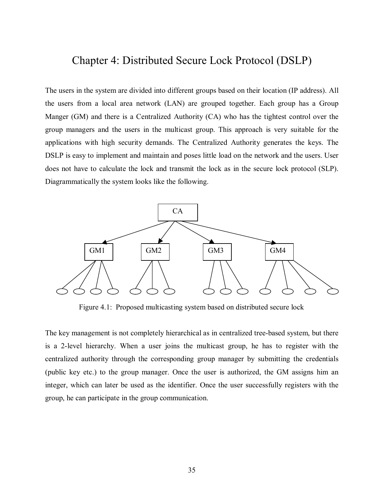# Chapter 4: Distributed Secure Lock Protocol (DSLP)

The users in the system are divided into different groups based on their location (IP address). All the users from a local area network (LAN) are grouped together. Each group has a Group Manger (GM) and there is a Centralized Authority (CA) who has the tightest control over the group managers and the users in the multicast group. This approach is very suitable for the applications with high security demands. The Centralized Authority generates the keys. The DSLP is easy to implement and maintain and poses little load on the network and the users. User does not have to calculate the lock and transmit the lock as in the secure lock protocol (SLP). Diagrammatically the system looks like the following.



Figure 4.1: Proposed multicasting system based on distributed secure lock

The key management is not completely hierarchical as in centralized tree-based system, but there is a 2-level hierarchy. When a user joins the multicast group, he has to register with the centralized authority through the corresponding group manager by submitting the credentials (public key etc.) to the group manager. Once the user is authorized, the GM assigns him an integer, which can later be used as the identifier. Once the user successfully registers with the group, he can participate in the group communication.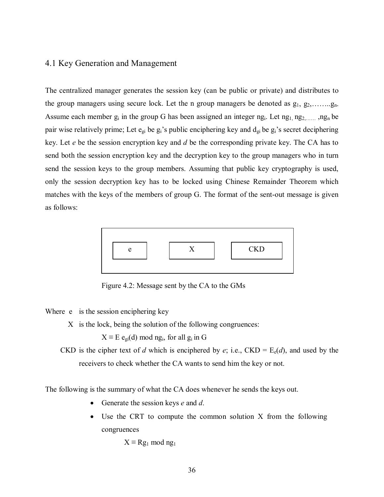# 4.1 Key Generation and Management

The centralized manager generates the session key (can be public or private) and distributes to the group managers using secure lock. Let the n group managers be denoted as  $g_1, g_2, \ldots, g_n$ . Assume each member  $g_i$  in the group G has been assigned an integer ng<sub>i</sub>. Let ng<sub>1</sub>, ng<sub>2</sub>, ang<sub>n</sub> be pair wise relatively prime; Let  $e_{gi}$  be  $g_i$ 's public enciphering key and  $d_{gi}$  be  $g_i$ 's secret deciphering key. Let *e* be the session encryption key and *d* be the corresponding private key. The CA has to send both the session encryption key and the decryption key to the group managers who in turn send the session keys to the group members. Assuming that public key cryptography is used, only the session decryption key has to be locked using Chinese Remainder Theorem which matches with the keys of the members of group G. The format of the sent-out message is given as follows:



Figure 4.2: Message sent by the CA to the GMs

Where e is the session enciphering key

X is the lock, being the solution of the following congruences:

 $X \equiv E$  e<sub>gi</sub>(d) mod ng<sub>i</sub>, for all g<sub>i</sub> in G

CKD is the cipher text of *d* which is enciphered by *e*; i.e., CKD =  $E_e(d)$ , and used by the receivers to check whether the CA wants to send him the key or not.

The following is the summary of what the CA does whenever he sends the keys out.

- Generate the session keys *e* and *d*.
- Use the CRT to compute the common solution X from the following congruences

 $X \equiv Rg_1 \mod ng_1$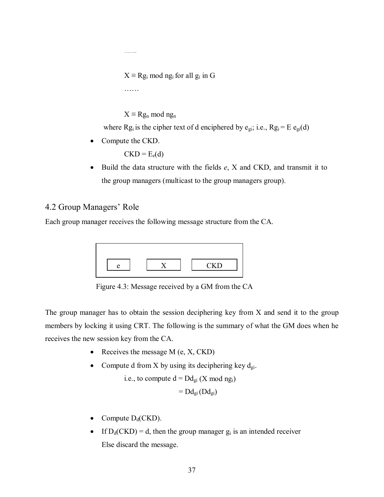$X \equiv \text{Rg}_i \text{ mod } \text{ng}_i \text{ for all } \text{g}_i \text{ in } G$ 

ÖÖ

ÖÖ..

 $X \equiv Rg_n \mod ng_n$ where Rg<sub>i</sub> is the cipher text of d enciphered by  $e_{gi}$ ; i.e., Rg<sub>i</sub> = E  $e_{gi}(d)$ 

• Compute the CKD.

 $CKD = E_e(d)$ 

• Build the data structure with the fields *e*, X and CKD, and transmit it to the group managers (multicast to the group managers group).

# 4.2 Group Managers' Role

Each group manager receives the following message structure from the CA.

| ⋍ | <b>CKD</b> |
|---|------------|

Figure 4.3: Message received by a GM from the CA

The group manager has to obtain the session deciphering key from X and send it to the group members by locking it using CRT. The following is the summary of what the GM does when he receives the new session key from the CA.

- Receives the message  $M$  (e,  $X$ ,  $CKD$ )
- Compute d from X by using its deciphering key  $d_{gi}$ .

i.e., to compute 
$$
d = Dd_{gi}(X \text{ mod } ng_i)
$$

$$
=Dd_{gi}(Dd_{gi})
$$

- Compute  $D_d(CKD)$ .
- If  $D_d(CKD) = d$ , then the group manager  $g_i$  is an intended receiver Else discard the message.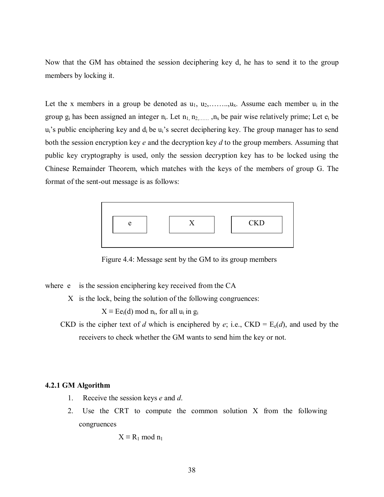Now that the GM has obtained the session deciphering key d, he has to send it to the group members by locking it.

Let the x members in a group be denoted as  $u_1, u_2, \ldots, u_x$ . Assume each member  $u_i$  in the group  $g_i$  has been assigned an integer  $n_i$ . Let  $n_1, n_2, \ldots, n_x$  be pair wise relatively prime; Let  $e_i$  be  $u_i$ 's public enciphering key and  $d_i$  be  $u_i$ 's secret deciphering key. The group manager has to send both the session encryption key *e* and the decryption key *d* to the group members. Assuming that public key cryptography is used, only the session decryption key has to be locked using the Chinese Remainder Theorem, which matches with the keys of the members of group G. The format of the sent-out message is as follows:



Figure 4.4: Message sent by the GM to its group members

where e is the session enciphering key received from the CA

X is the lock, being the solution of the following congruences:

 $X \equiv \text{E}e_i(d) \mod n_i$ , for all  $u_i$  in  $g_i$ 

CKD is the cipher text of *d* which is enciphered by *e*; i.e., CKD =  $E_e(d)$ , and used by the receivers to check whether the GM wants to send him the key or not.

#### **4.2.1 GM Algorithm**

- 1. Receive the session keys *e* and *d*.
- 2. Use the CRT to compute the common solution X from the following congruences

$$
X \equiv R_1 \bmod n_1
$$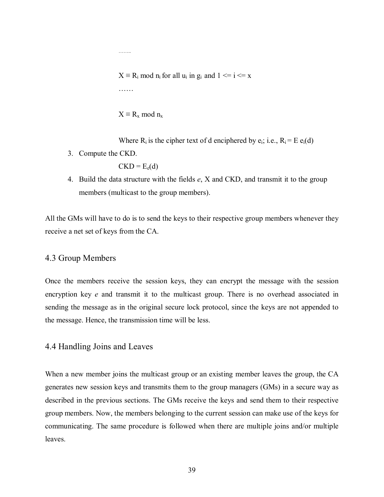$X \equiv R_i \mod n_i$  for all  $u_i$  in  $g_i$  and  $1 \le i \le x$ ÖÖ

 $X \equiv R_x \mod n_x$ 

ÖÖ..

Where  $R_i$  is the cipher text of d enciphered by  $e_i$ ; i.e.,  $R_i = E e_i(d)$ 

3. Compute the CKD.

 $CKD = E_e(d)$ 

4. Build the data structure with the fields *e*, X and CKD, and transmit it to the group members (multicast to the group members).

All the GMs will have to do is to send the keys to their respective group members whenever they receive a net set of keys from the CA.

## 4.3 Group Members

Once the members receive the session keys, they can encrypt the message with the session encryption key *e* and transmit it to the multicast group. There is no overhead associated in sending the message as in the original secure lock protocol, since the keys are not appended to the message. Hence, the transmission time will be less.

## 4.4 Handling Joins and Leaves

When a new member joins the multicast group or an existing member leaves the group, the CA generates new session keys and transmits them to the group managers (GMs) in a secure way as described in the previous sections. The GMs receive the keys and send them to their respective group members. Now, the members belonging to the current session can make use of the keys for communicating. The same procedure is followed when there are multiple joins and/or multiple leaves.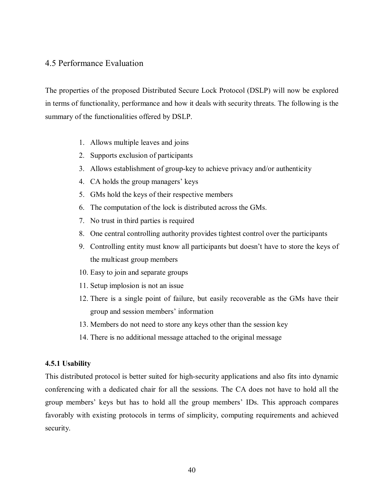## 4.5 Performance Evaluation

The properties of the proposed Distributed Secure Lock Protocol (DSLP) will now be explored in terms of functionality, performance and how it deals with security threats. The following is the summary of the functionalities offered by DSLP.

- 1. Allows multiple leaves and joins
- 2. Supports exclusion of participants
- 3. Allows establishment of group-key to achieve privacy and/or authenticity
- 4. CA holds the group managers' keys
- 5. GMs hold the keys of their respective members
- 6. The computation of the lock is distributed across the GMs.
- 7. No trust in third parties is required
- 8. One central controlling authority provides tightest control over the participants
- 9. Controlling entity must know all participants but doesnít have to store the keys of the multicast group members
- 10. Easy to join and separate groups
- 11. Setup implosion is not an issue
- 12. There is a single point of failure, but easily recoverable as the GMs have their group and session members' information
- 13. Members do not need to store any keys other than the session key
- 14. There is no additional message attached to the original message

### **4.5.1 Usability**

This distributed protocol is better suited for high-security applications and also fits into dynamic conferencing with a dedicated chair for all the sessions. The CA does not have to hold all the group members' keys but has to hold all the group members' IDs. This approach compares favorably with existing protocols in terms of simplicity, computing requirements and achieved security.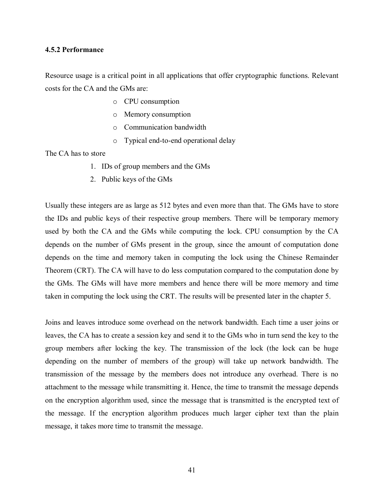### **4.5.2 Performance**

Resource usage is a critical point in all applications that offer cryptographic functions. Relevant costs for the CA and the GMs are:

- o CPU consumption
- o Memory consumption
- o Communication bandwidth
- o Typical end-to-end operational delay

The CA has to store

- 1. IDs of group members and the GMs
- 2. Public keys of the GMs

Usually these integers are as large as 512 bytes and even more than that. The GMs have to store the IDs and public keys of their respective group members. There will be temporary memory used by both the CA and the GMs while computing the lock. CPU consumption by the CA depends on the number of GMs present in the group, since the amount of computation done depends on the time and memory taken in computing the lock using the Chinese Remainder Theorem (CRT). The CA will have to do less computation compared to the computation done by the GMs. The GMs will have more members and hence there will be more memory and time taken in computing the lock using the CRT. The results will be presented later in the chapter 5.

Joins and leaves introduce some overhead on the network bandwidth. Each time a user joins or leaves, the CA has to create a session key and send it to the GMs who in turn send the key to the group members after locking the key. The transmission of the lock (the lock can be huge depending on the number of members of the group) will take up network bandwidth. The transmission of the message by the members does not introduce any overhead. There is no attachment to the message while transmitting it. Hence, the time to transmit the message depends on the encryption algorithm used, since the message that is transmitted is the encrypted text of the message. If the encryption algorithm produces much larger cipher text than the plain message, it takes more time to transmit the message.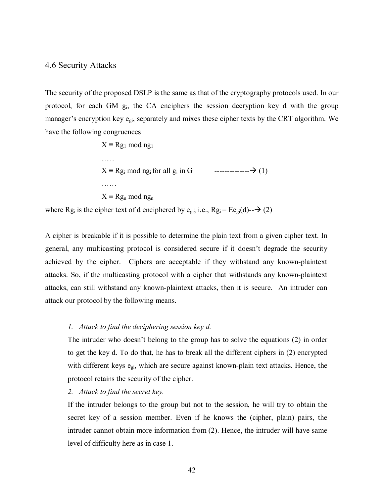### 4.6 Security Attacks

The security of the proposed DSLP is the same as that of the cryptography protocols used. In our protocol, for each GM gi, the CA enciphers the session decryption key d with the group manager's encryption key  $e_{gi}$ , separately and mixes these cipher texts by the CRT algorithm. We have the following congruences

> $X \equiv Rg_1 \mod ng_1$  ÖÖ.. X ≡ Rgi mod ngi for all gi in G --------------! (1) ÖÖ  $X \equiv Rg_n \mod ng_n$

where Rg<sub>i</sub> is the cipher text of d enciphered by e<sub>gi</sub>; i.e., Rg<sub>i</sub> = Ee<sub>gi</sub>(d)- $\rightarrow$  (2)

A cipher is breakable if it is possible to determine the plain text from a given cipher text. In general, any multicasting protocol is considered secure if it doesn't degrade the security achieved by the cipher. Ciphers are acceptable if they withstand any known-plaintext attacks. So, if the multicasting protocol with a cipher that withstands any known-plaintext attacks, can still withstand any known-plaintext attacks, then it is secure. An intruder can attack our protocol by the following means.

#### *1. Attack to find the deciphering session key d.*

The intruder who doesn't belong to the group has to solve the equations (2) in order to get the key d. To do that, he has to break all the different ciphers in (2) encrypted with different keys  $e_{gi}$ , which are secure against known-plain text attacks. Hence, the protocol retains the security of the cipher.

*2. Attack to find the secret key.* 

If the intruder belongs to the group but not to the session, he will try to obtain the secret key of a session member. Even if he knows the (cipher, plain) pairs, the intruder cannot obtain more information from (2). Hence, the intruder will have same level of difficulty here as in case 1.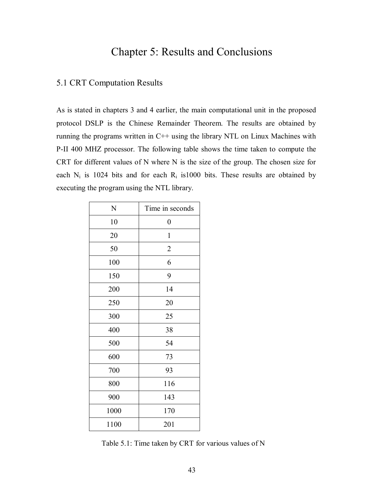# Chapter 5: Results and Conclusions

## 5.1 CRT Computation Results

As is stated in chapters 3 and 4 earlier, the main computational unit in the proposed protocol DSLP is the Chinese Remainder Theorem. The results are obtained by running the programs written in C++ using the library NTL on Linux Machines with P-II 400 MHZ processor. The following table shows the time taken to compute the CRT for different values of N where N is the size of the group. The chosen size for each  $N_i$  is 1024 bits and for each  $R_i$  is1000 bits. These results are obtained by executing the program using the NTL library.

| N    | Time in seconds  |  |
|------|------------------|--|
| 10   | $\boldsymbol{0}$ |  |
| 20   | $\mathbf{1}$     |  |
| 50   | $\overline{2}$   |  |
| 100  | 6                |  |
| 150  | 9                |  |
| 200  | 14               |  |
| 250  | 20               |  |
| 300  | 25               |  |
| 400  | 38               |  |
| 500  | 54               |  |
| 600  | 73               |  |
| 700  | 93               |  |
| 800  | 116              |  |
| 900  | 143              |  |
| 1000 | 170              |  |
| 1100 | 201              |  |

Table 5.1: Time taken by CRT for various values of N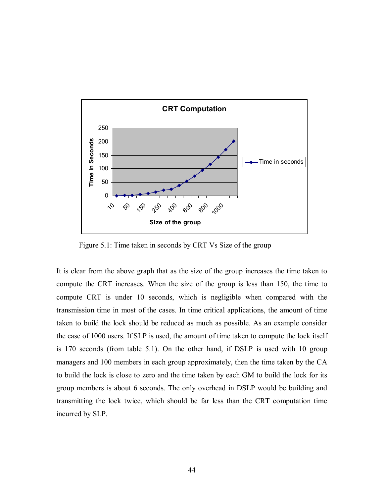

Figure 5.1: Time taken in seconds by CRT Vs Size of the group

It is clear from the above graph that as the size of the group increases the time taken to compute the CRT increases. When the size of the group is less than 150, the time to compute CRT is under 10 seconds, which is negligible when compared with the transmission time in most of the cases. In time critical applications, the amount of time taken to build the lock should be reduced as much as possible. As an example consider the case of 1000 users. If SLP is used, the amount of time taken to compute the lock itself is 170 seconds (from table 5.1). On the other hand, if DSLP is used with 10 group managers and 100 members in each group approximately, then the time taken by the CA to build the lock is close to zero and the time taken by each GM to build the lock for its group members is about 6 seconds. The only overhead in DSLP would be building and transmitting the lock twice, which should be far less than the CRT computation time incurred by SLP.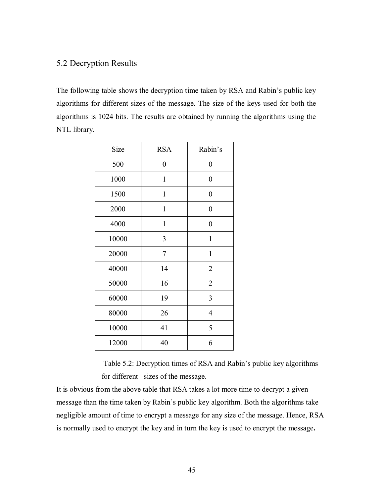# 5.2 Decryption Results

The following table shows the decryption time taken by RSA and Rabin's public key algorithms for different sizes of the message. The size of the keys used for both the algorithms is 1024 bits. The results are obtained by running the algorithms using the NTL library.

| Size  | <b>RSA</b>     | Rabin's          |
|-------|----------------|------------------|
| 500   | $\overline{0}$ | 0                |
| 1000  | $\mathbf{1}$   | $\boldsymbol{0}$ |
| 1500  | 1              | $\boldsymbol{0}$ |
| 2000  | $\mathbf{1}$   | 0                |
| 4000  | $\mathbf{1}$   | $\boldsymbol{0}$ |
| 10000 | 3              | $\mathbf{1}$     |
| 20000 | $\overline{7}$ | $\mathbf{1}$     |
| 40000 | 14             | 2                |
| 50000 | 16             | $\overline{2}$   |
| 60000 | 19             | 3                |
| 80000 | 26             | $\overline{4}$   |
| 10000 | 41             | 5                |
| 12000 | 40             | 6                |

Table 5.2: Decryption times of RSA and Rabin's public key algorithms for different sizes of the message.

It is obvious from the above table that RSA takes a lot more time to decrypt a given message than the time taken by Rabin's public key algorithm. Both the algorithms take negligible amount of time to encrypt a message for any size of the message. Hence, RSA is normally used to encrypt the key and in turn the key is used to encrypt the message**.**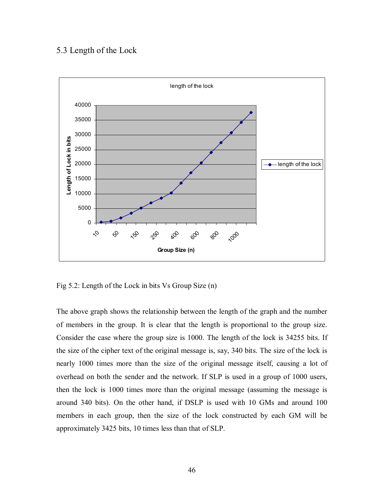# 5.3 Length of the Lock



Fig 5.2: Length of the Lock in bits Vs Group Size (n)

The above graph shows the relationship between the length of the graph and the number of members in the group. It is clear that the length is proportional to the group size. Consider the case where the group size is 1000. The length of the lock is 34255 bits. If the size of the cipher text of the original message is, say, 340 bits. The size of the lock is nearly 1000 times more than the size of the original message itself, causing a lot of overhead on both the sender and the network. If SLP is used in a group of 1000 users, then the lock is 1000 times more than the original message (assuming the message is around 340 bits). On the other hand, if DSLP is used with 10 GMs and around 100 members in each group, then the size of the lock constructed by each GM will be approximately 3425 bits, 10 times less than that of SLP.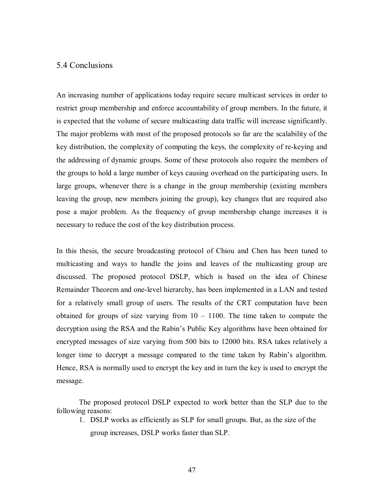## 5.4 Conclusions

An increasing number of applications today require secure multicast services in order to restrict group membership and enforce accountability of group members. In the future, it is expected that the volume of secure multicasting data traffic will increase significantly. The major problems with most of the proposed protocols so far are the scalability of the key distribution, the complexity of computing the keys, the complexity of re-keying and the addressing of dynamic groups. Some of these protocols also require the members of the groups to hold a large number of keys causing overhead on the participating users. In large groups, whenever there is a change in the group membership (existing members leaving the group, new members joining the group), key changes that are required also pose a major problem. As the frequency of group membership change increases it is necessary to reduce the cost of the key distribution process.

In this thesis, the secure broadcasting protocol of Chiou and Chen has been tuned to multicasting and ways to handle the joins and leaves of the multicasting group are discussed. The proposed protocol DSLP, which is based on the idea of Chinese Remainder Theorem and one-level hierarchy, has been implemented in a LAN and tested for a relatively small group of users. The results of the CRT computation have been obtained for groups of size varying from  $10 - 1100$ . The time taken to compute the decryption using the RSA and the Rabin's Public Key algorithms have been obtained for encrypted messages of size varying from 500 bits to 12000 bits. RSA takes relatively a longer time to decrypt a message compared to the time taken by Rabin's algorithm. Hence, RSA is normally used to encrypt the key and in turn the key is used to encrypt the message.

The proposed protocol DSLP expected to work better than the SLP due to the following reasons:

1. DSLP works as efficiently as SLP for small groups. But, as the size of the group increases, DSLP works faster than SLP.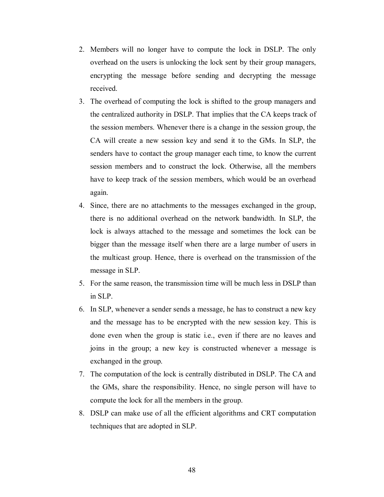- 2. Members will no longer have to compute the lock in DSLP. The only overhead on the users is unlocking the lock sent by their group managers, encrypting the message before sending and decrypting the message received.
- 3. The overhead of computing the lock is shifted to the group managers and the centralized authority in DSLP. That implies that the CA keeps track of the session members. Whenever there is a change in the session group, the CA will create a new session key and send it to the GMs. In SLP, the senders have to contact the group manager each time, to know the current session members and to construct the lock. Otherwise, all the members have to keep track of the session members, which would be an overhead again.
- 4. Since, there are no attachments to the messages exchanged in the group, there is no additional overhead on the network bandwidth. In SLP, the lock is always attached to the message and sometimes the lock can be bigger than the message itself when there are a large number of users in the multicast group. Hence, there is overhead on the transmission of the message in SLP.
- 5. For the same reason, the transmission time will be much less in DSLP than in SLP.
- 6. In SLP, whenever a sender sends a message, he has to construct a new key and the message has to be encrypted with the new session key. This is done even when the group is static i.e., even if there are no leaves and joins in the group; a new key is constructed whenever a message is exchanged in the group.
- 7. The computation of the lock is centrally distributed in DSLP. The CA and the GMs, share the responsibility. Hence, no single person will have to compute the lock for all the members in the group.
- 8. DSLP can make use of all the efficient algorithms and CRT computation techniques that are adopted in SLP.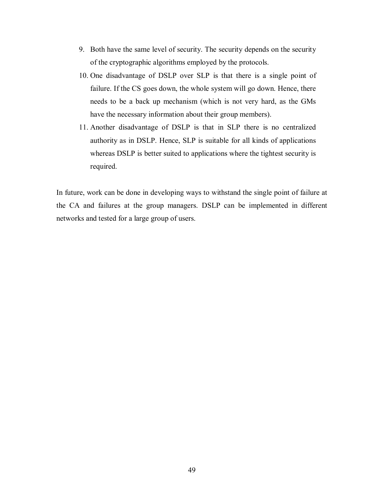- 9. Both have the same level of security. The security depends on the security of the cryptographic algorithms employed by the protocols.
- 10. One disadvantage of DSLP over SLP is that there is a single point of failure. If the CS goes down, the whole system will go down. Hence, there needs to be a back up mechanism (which is not very hard, as the GMs have the necessary information about their group members).
- 11. Another disadvantage of DSLP is that in SLP there is no centralized authority as in DSLP. Hence, SLP is suitable for all kinds of applications whereas DSLP is better suited to applications where the tightest security is required.

In future, work can be done in developing ways to withstand the single point of failure at the CA and failures at the group managers. DSLP can be implemented in different networks and tested for a large group of users.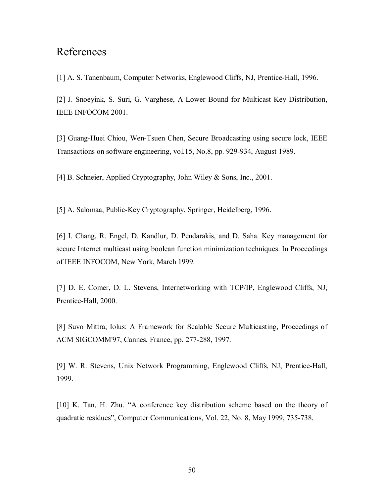# References

[1] A. S. Tanenbaum, Computer Networks, Englewood Cliffs, NJ, Prentice-Hall, 1996.

[2] J. Snoeyink, S. Suri, G. Varghese, A Lower Bound for Multicast Key Distribution, IEEE INFOCOM 2001.

[3] Guang-Huei Chiou, Wen-Tsuen Chen, Secure Broadcasting using secure lock, IEEE Transactions on software engineering, vol.15, No.8, pp. 929-934, August 1989.

[4] B. Schneier, Applied Cryptography, John Wiley & Sons, Inc., 2001.

[5] A. Salomaa, Public-Key Cryptography, Springer, Heidelberg, 1996.

[6] I. Chang, R. Engel, D. Kandlur, D. Pendarakis, and D. Saha. Key management for secure Internet multicast using boolean function minimization techniques. In Proceedings of IEEE INFOCOM, New York, March 1999.

[7] D. E. Comer, D. L. Stevens, Internetworking with TCP/IP, Englewood Cliffs, NJ, Prentice-Hall, 2000.

[8] Suvo Mittra, Iolus: A Framework for Scalable Secure Multicasting, Proceedings of ACM SIGCOMM'97, Cannes, France, pp. 277-288, 1997.

[9] W. R. Stevens, Unix Network Programming, Englewood Cliffs, NJ, Prentice-Hall, 1999.

[10] K. Tan, H. Zhu. "A conference key distribution scheme based on the theory of quadratic residues", Computer Communications, Vol. 22, No. 8, May 1999, 735-738.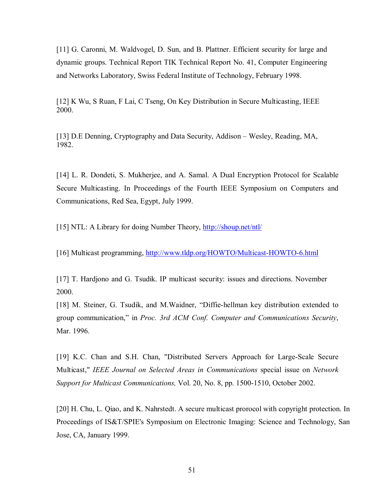[11] G. Caronni, M. Waldvogel, D. Sun, and B. Plattner. Efficient security for large and dynamic groups. Technical Report TIK Technical Report No. 41, Computer Engineering and Networks Laboratory, Swiss Federal Institute of Technology, February 1998.

[12] K Wu, S Ruan, F Lai, C Tseng, On Key Distribution in Secure Multicasting, IEEE 2000.

[13] D.E Denning, Cryptography and Data Security, Addison – Wesley, Reading, MA, 1982.

[14] L. R. Dondeti, S. Mukherjee, and A. Samal. A Dual Encryption Protocol for Scalable Secure Multicasting. In Proceedings of the Fourth IEEE Symposium on Computers and Communications, Red Sea, Egypt, July 1999.

[15] NTL: A Library for doing Number Theory, http://shoup.net/ntl/

[16] Multicast programming, http://www.tldp.org/HOWTO/Multicast-HOWTO-6.html

[17] T. Hardjono and G. Tsudik. IP multicast security: issues and directions. November 2000.

[18] M. Steiner, G. Tsudik, and M. Waidner, "Diffie-hellman key distribution extended to group communication," in *Proc. 3rd ACM Conf. Computer and Communications Security*, Mar. 1996.

[19] K.C. Chan and S.H. Chan, "Distributed Servers Approach for Large-Scale Secure Multicast," *IEEE Journal on Selected Areas in Communications* special issue on *Network Support for Multicast Communications,* Vol. 20, No. 8, pp. 1500-1510, October 2002.

[20] H. Chu, L. Qiao, and K. Nahrstedt. A secure multicast prorocol with copyright protection. In Proceedings of IS&T/SPIE's Symposium on Electronic Imaging: Science and Technology, San Jose, CA, January 1999.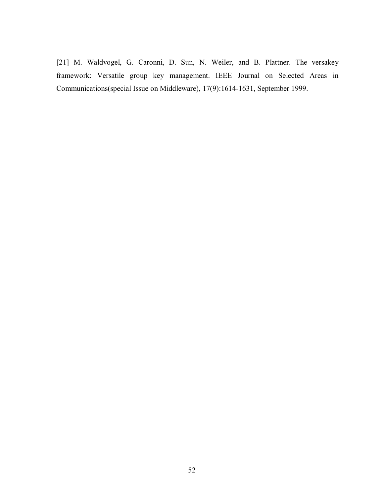[21] M. Waldvogel, G. Caronni, D. Sun, N. Weiler, and B. Plattner. The versakey framework: Versatile group key management. IEEE Journal on Selected Areas in Communications(special Issue on Middleware), 17(9):1614-1631, September 1999.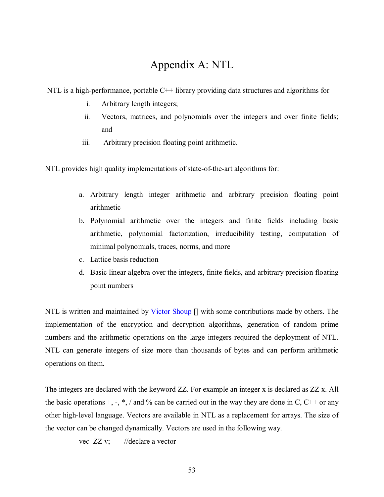# Appendix A: NTL

NTL is a high-performance, portable C++ library providing data structures and algorithms for

- i. Arbitrary length integers;
- ii. Vectors, matrices, and polynomials over the integers and over finite fields; and
- iii. Arbitrary precision floating point arithmetic.

NTL provides high quality implementations of state-of-the-art algorithms for:

- a. Arbitrary length integer arithmetic and arbitrary precision floating point arithmetic
- b. Polynomial arithmetic over the integers and finite fields including basic arithmetic, polynomial factorization, irreducibility testing, computation of minimal polynomials, traces, norms, and more
- c. Lattice basis reduction
- d. Basic linear algebra over the integers, finite fields, and arbitrary precision floating point numbers

NTL is written and maintained by Victor Shoup I with some contributions made by others. The implementation of the encryption and decryption algorithms, generation of random prime numbers and the arithmetic operations on the large integers required the deployment of NTL. NTL can generate integers of size more than thousands of bytes and can perform arithmetic operations on them.

The integers are declared with the keyword ZZ. For example an integer x is declared as ZZ x. All the basic operations  $+$ ,  $-$ ,  $*$ , / and % can be carried out in the way they are done in C, C++ or any other high-level language. Vectors are available in NTL as a replacement for arrays. The size of the vector can be changed dynamically. Vectors are used in the following way.

vec ZZ v; //declare a vector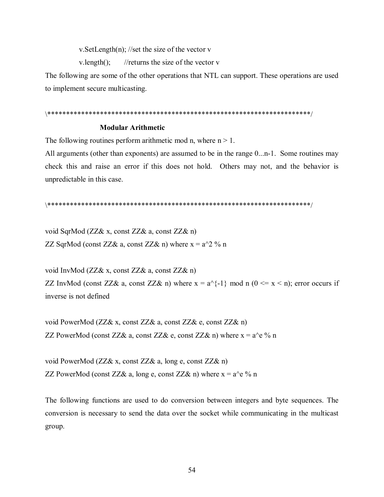v. SetLength $(n)$ ; //set the size of the vector v

v.length();  $//$ returns the size of the vector v

The following are some of the other operations that NTL can support. These operations are used to implement secure multicasting.

### \\*\*\*\*\*\*\*\*\*\*\*\*\*\*\*\*\*\*\*\*\*\*\*\*\*\*\*\*\*\*\*\*\*\*\*\*\*\*\*\*\*\*\*\*\*\*\*\*\*\*\*\*\*\*\*\*\*\*\*\*\*\*\*\*\*\*\*\*\*\*/

### **Modular Arithmetic**

The following routines perform arithmetic mod n, where  $n > 1$ .

All arguments (other than exponents) are assumed to be in the range  $0...$ n-1. Some routines may check this and raise an error if this does not hold. Others may not, and the behavior is unpredictable in this case.

#### \\*\*\*\*\*\*\*\*\*\*\*\*\*\*\*\*\*\*\*\*\*\*\*\*\*\*\*\*\*\*\*\*\*\*\*\*\*\*\*\*\*\*\*\*\*\*\*\*\*\*\*\*\*\*\*\*\*\*\*\*\*\*\*\*\*\*\*\*\*\*/

void SqrMod (ZZ& x, const ZZ& a, const ZZ& n) ZZ SqrMod (const ZZ& a, const ZZ& n) where  $x = a^2$  % n

void InvMod (ZZ& x, const ZZ& a, const ZZ& n) ZZ InvMod (const ZZ& a, const ZZ& n) where  $x = a^{-1} - 1$  mod n (0  $\le x \le n$ ); error occurs if inverse is not defined

void PowerMod (ZZ& x, const ZZ& a, const ZZ& e, const ZZ& n) ZZ PowerMod (const ZZ& a, const ZZ& e, const ZZ& n) where  $x = a^e$  % n

void PowerMod (ZZ& x, const ZZ& a, long e, const ZZ& n) ZZ PowerMod (const ZZ& a, long e, const ZZ& n) where  $x = a^e \theta$  n

The following functions are used to do conversion between integers and byte sequences. The conversion is necessary to send the data over the socket while communicating in the multicast group.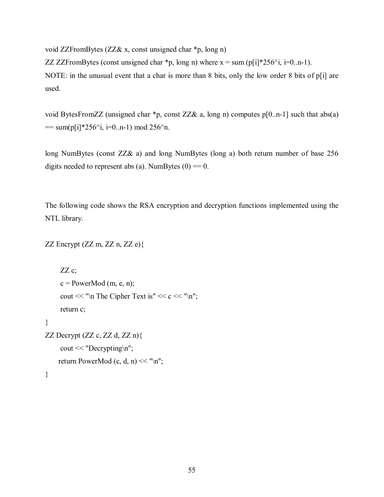void ZZFromBytes (ZZ& x, const unsigned char \*p, long n)

ZZ ZZFromBytes (const unsigned char \*p, long n) where  $x = \text{sum (p[i]*256'i}, i=0..n-1)$ . NOTE: in the unusual event that a char is more than 8 bits, only the low order 8 bits of p[i] are used.

void BytesFromZZ (unsigned char \*p, const ZZ& a, long n) computes p[0..n-1] such that abs(a)  $=$  sum(p[i]\*256^i, i=0..n-1) mod 256^n.

long NumBytes (const ZZ& a) and long NumBytes (long a) both return number of base 256 digits needed to represent abs (a). NumBytes  $(0) = 0$ .

The following code shows the RSA encryption and decryption functions implemented using the NTL library.

```
ZZ Encrypt (ZZ \, m, ZZ \, n, ZZ \, e)
```

```
ZZ c;
     c = PowerMod(m, e, n);cout << "\n The Cipher Text is" << c<< "\n";
      return c; 
} 
ZZ Decrypt (ZZ \, c, ZZ \, d, ZZ \, n)cout << "Decrypting\n";
    return PowerMod (c, d, n) << "\n";
```

```
}
```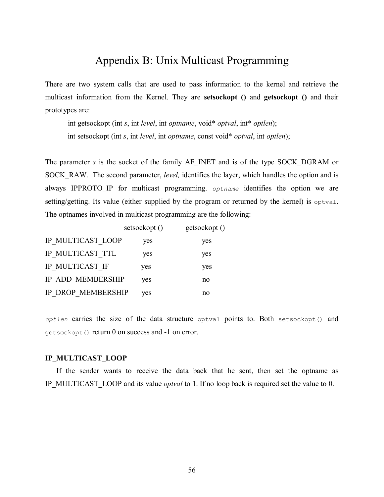# Appendix B: Unix Multicast Programming

There are two system calls that are used to pass information to the kernel and retrieve the multicast information from the Kernel. They are **setsockopt ()** and **getsockopt ()** and their prototypes are:

 int getsockopt (int *s*, int *level*, int *optname*, void\* *optval*, int\* *optlen*); int setsockopt (int *s*, int *level*, int *optname*, const void\* *optval*, int *optlen*);

The parameter *s* is the socket of the family AF\_INET and is of the type SOCK\_DGRAM or SOCK\_RAW. The second parameter, *level*, identifies the layer, which handles the option and is always IPPROTO IP for multicast programming. *optname* identifies the option we are setting/getting. Its value (either supplied by the program or returned by the kernel) is optval. The optnames involved in multicast programming are the following:

|                    | setsockopt () | getsockopt () |
|--------------------|---------------|---------------|
| IP MULTICAST LOOP  | yes           | yes           |
| IP MULTICAST TTL   | yes           | yes           |
| IP MULTICAST IF    | yes           | yes           |
| IP ADD MEMBERSHIP  | yes           | no            |
| IP DROP MEMBERSHIP | yes           | no            |

*optlen* carries the size of the data structure optval points to. Both setsockopt() and getsockopt() return 0 on success and -1 on error.

#### **IP\_MULTICAST\_LOOP**

 If the sender wants to receive the data back that he sent, then set the optname as IP\_MULTICAST\_LOOP and its value *optval* to 1. If no loop back is required set the value to 0.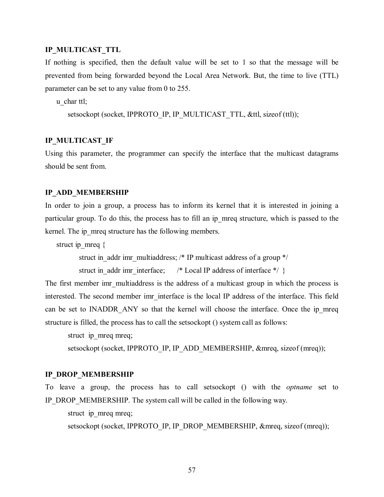### **IP\_MULTICAST\_TTL**

If nothing is specified, then the default value will be set to 1 so that the message will be prevented from being forwarded beyond the Local Area Network. But, the time to live (TTL) parameter can be set to any value from 0 to 255.

u char ttl;

setsockopt (socket, IPPROTO\_IP, IP\_MULTICAST\_TTL, &ttl, sizeof (ttl));

### **IP\_MULTICAST\_IF**

Using this parameter, the programmer can specify the interface that the multicast datagrams should be sent from.

#### **IP\_ADD\_MEMBERSHIP**

In order to join a group, a process has to inform its kernel that it is interested in joining a particular group. To do this, the process has to fill an ip\_mreq structure, which is passed to the kernel. The ip mreq structure has the following members.

struct ip\_mreq  $\{$ 

struct in addr imr multiaddress; /\* IP multicast address of a group \*/

struct in addr imr interface; /\* Local IP address of interface  $*/$  }

The first member imr multiaddress is the address of a multicast group in which the process is interested. The second member imr interface is the local IP address of the interface. This field can be set to INADDR ANY so that the kernel will choose the interface. Once the ip mreq structure is filled, the process has to call the setsockopt () system call as follows:

struct ip mreq mreq;

setsockopt (socket, IPPROTO\_IP, IP\_ADD\_MEMBERSHIP, &mreq, sizeof (mreq));

#### **IP\_DROP\_MEMBERSHIP**

To leave a group, the process has to call setsockopt () with the *optname* set to IP\_DROP\_MEMBERSHIP. The system call will be called in the following way.

struct ip mreq mreq;

setsockopt (socket, IPPROTO\_IP, IP\_DROP\_MEMBERSHIP, &mreq, sizeof (mreq));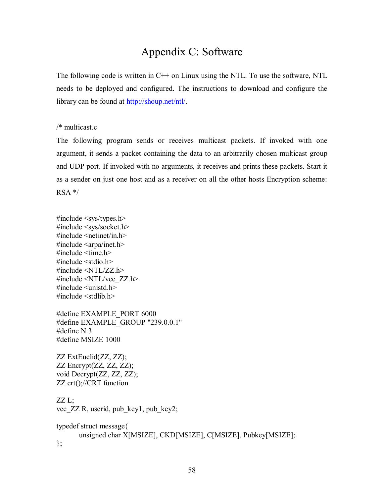# Appendix C: Software

The following code is written in C++ on Linux using the NTL. To use the software, NTL needs to be deployed and configured. The instructions to download and configure the library can be found at http://shoup.net/ntl/.

/\* multicast.c

The following program sends or receives multicast packets. If invoked with one argument, it sends a packet containing the data to an arbitrarily chosen multicast group and UDP port. If invoked with no arguments, it receives and prints these packets. Start it as a sender on just one host and as a receiver on all the other hosts Encryption scheme:  $RSA$ <sup>\*/</sup>

 $\#$ include  $\langle$ sys/types.h $>$ #include <sys/socket.h>  $\#$ include  $\leq$ netinet/in.h $>$  $\#$ include  $\langle$ arpa/inet.h $>$ #include <time.h>  $\#$ include  $\leq$ stdio.h $>$  $\#$ include  $\langle \text{NTL}/\text{ZZ} \rangle$ .h> #include <NTL/vec\_ZZ.h>  $\#$ include  $\le$ unistd.h> #include <stdlib.h>

#define EXAMPLE\_PORT 6000 #define EXAMPLE\_GROUP "239.0.0.1" #define N 3 #define MSIZE 1000

ZZ ExtEuclid(ZZ, ZZ); ZZ Encrypt(ZZ, ZZ, ZZ); void Decrypt(ZZ, ZZ, ZZ); ZZ crt();//CRT function

ZZ L; vec ZZ R, userid, pub key1, pub key2;

typedef struct message{ unsigned char X[MSIZE], CKD[MSIZE], C[MSIZE], Pubkey[MSIZE]; };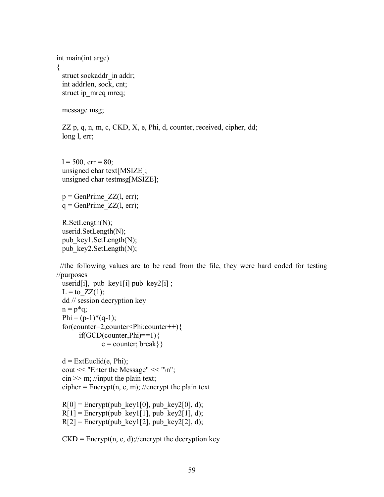```
int main(int argc) 
{ 
 struct sockaddr in addr;
  int addrlen, sock, cnt; 
 struct ip_mreq mreq;
```
message msg;

ZZ p, q, n, m, c, CKD, X, e, Phi, d, counter, received, cipher, dd; long l, err;

 $l = 500$ , err = 80; unsigned char text[MSIZE]; unsigned char testmsg[MSIZE];

 $p = GenPrime ZZ(1, err);$  $q =$ GenPrime  $ZZ(1, err);$ 

 R.SetLength(N); userid.SetLength(N); pub\_key1.SetLength(N); pub\_key2.SetLength(N);

 //the following values are to be read from the file, they were hard coded for testing //purposes

```
userid[i], pub key1[i] pub key2[i] ;
L = to ZZ(1);
 dd // session decryption key 
n = p*q;
Phi = (p-1)*(q-1); for(counter=2;counter<Phi;counter++){ 
     if(GCD(counter, Phi)==1)\{e = counter; break}
```
 $d = ExtEuclid(e, Phi);$  cout << "Enter the Message" << "\n";  $\sin \gg m$ ; //input the plain text; cipher = Encrypt $(n, e, m)$ ; //encrypt the plain text

 $R[0]$  = Encrypt(pub\_key1[0], pub\_key2[0], d);  $R[1]$  = Encrypt(pub\_key1[1], pub\_key2[1], d);  $R[2]$  = Encrypt(pub\_key1[2], pub\_key2[2], d);

 $CKD = \text{Encryption, e, d}$ ;//encrypt the decryption key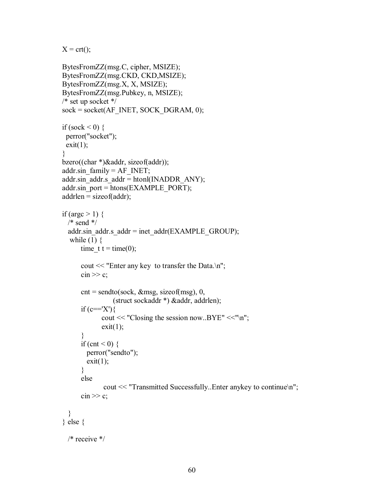$X = \text{crt}()$ ;

```
 BytesFromZZ(msg.C, cipher, MSIZE); 
 BytesFromZZ(msg.CKD, CKD,MSIZE); 
 BytesFromZZ(msg.X, X, MSIZE); 
 BytesFromZZ(msg.Pubkey, n, MSIZE); 
 /* set up socket */ 
 sock = socket(AF_INET, SOCK_DGRAM, 0); 
if (sock \leq 0) {
  perror("socket"); 
 exit(1); } 
 bzero((char *)&addr, sizeof(addr)); 
addr.sin_family = AF INET;
addr.sin addr.s addr = htonl(INADDR_ANY);
addr.sin_port = htons(EXAMPLE_PORT);
addrlen = sizeof(addr);
if (argc > 1) {
  /* send */addr.sin_addr.s_addr = inet_addr(EXAMPLE_GROUP);
  while (1) {
      time t = time(0);cout << "Enter any key to transfer the Data.\ln";
      \sin \gg c;
      \text{cnt} = \text{sendto}(\text{sock}, \& \text{msg}, \text{sizeof}(\text{msg}), 0, (struct sockaddr *) &addr, addrlen); 
      if (c=='X')cout << "Closing the session now..BYE" <<"\n";
             exit(1); } 
      if (cnt \leq 0) {
         perror("sendto"); 
        exit(1); } 
       else 
               cout << "Transmitted Successfully..Enter anykey to continue\n"; 
      \sin \gg c;
   } 
 } else { 
  /* receive */
```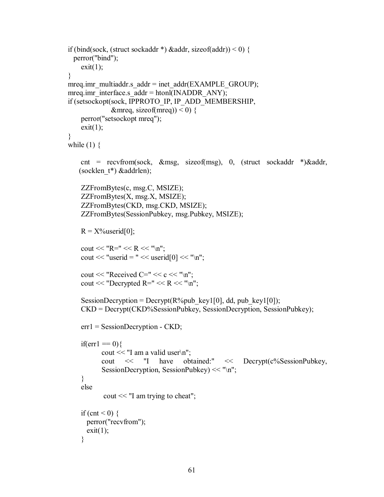```
if (bind(sock, (struct sockaddr *) & addr, size of (addr)) < 0) {
  perror("bind"); 
    exit(1); } 
mreq.imr_multiaddr.s_addr = inet_addr(EXAMPLE_GROUP);
mreq.imr interface.s \text{addr} = \text{htonl}(\text{INADDR} \text{ ANY}); if (setsockopt(sock, IPPROTO_IP, IP_ADD_MEMBERSHIP, 
              \&mreq, sizeof(mreq)) < 0) {
     perror("setsockopt mreq"); 
    exit(1); } 
while (1) {
     cnt = recvfrom(sock, &msg, sizeof(msg), 0, (struct sockaddr *)&addr, 
   (socklen t^*) &addrlen);
     ZZFromBytes(c, msg.C, MSIZE); 
     ZZFromBytes(X, msg.X, MSIZE); 
     ZZFromBytes(CKD, msg.CKD, MSIZE); 
     ZZFromBytes(SessionPubkey, msg.Pubkey, MSIZE); 
    R = X\%userid[0];
    cout << "R = " << R << "n";
    cout << "userid = " << userid[0] << "\n";
    cout << "Received C=" << c<< "\n";
    cout << "Decrypted R=" << R << "\n";
    SessionDecryption = Decrypt(R\%pub key1[0], dd, pub key1[0]);
     CKD = Decrypt(CKD%SessionPubkey, SessionDecryption, SessionPubkey); 
     err1 = SessionDecryption - CKD; 
    if(err1 = 0)cout << "I am a valid user\ln";
          cout << "I have obtained:" << Decrypt(c%SessionPubkey, 
          SessionDecryption, SessionPubkey) << "\n";
     } 
     else 
           cout << "I am trying to cheat";
    if (cnt \leq 0) {
      perror("recvfrom"); 
      exit(1); }
```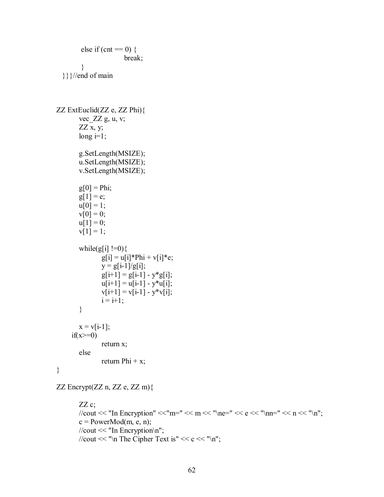```
else if (cnt == 0) {
                        break; 
         } 
   }}}//end of main 
ZZ ExtEuclid(ZZ e, ZZ Phi){ 
        vec_ZZ g, u, v; 
       ZZ x, y;
       long i=1;
        g.SetLength(MSIZE); 
        u.SetLength(MSIZE); 
        v.SetLength(MSIZE); 
       g[0] = Phi;g[1] = e;u[0] = 1;v[0] = 0;u[1] = 0;v[1] = 1;while(g[i]!=0){
               g[i] = u[i]*Phi + v[i]*e;y = g[i-1]/g[i];g[i+1] = g[i-1] - y * g[i];u[i+1] = u[i-1] - y^*u[i];v[i+1] = v[i-1] - y * v[i];i = i+1; } 
       x = v[i-1];if(x>=0) return x; 
        else 
               return Phi + x;
}
```
ZZ Encrypt(ZZ n, ZZ e, ZZ m){

### $ZZ$  c;

//cout << "In Encryption" << "m=" << m << "\ne=" << e << "\nn=" << n << "\n";  $c = PowerMod(m, e, n);$  //cout << "In Encryption\n"; //cout << "\n The Cipher Text is" <<  $c \ll$  "\n";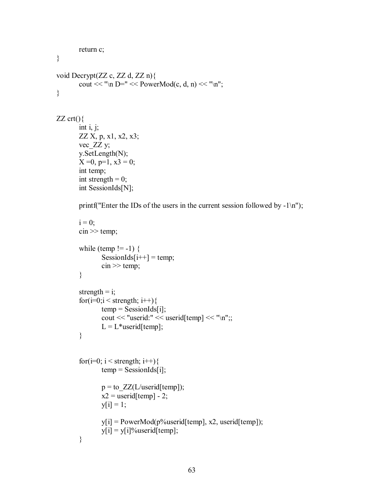```
 return c; 
void Decrypt(ZZ c, ZZ d, ZZ n){ 
        cout << "\n D=" << PowerMod(c, d, n) << "\n";
ZZ crt(){
       int i, j;
        ZZ X, p, x1, x2, x3; 
         vec_ZZ y; 
         y.SetLength(N); 
       X = 0, p=1, x3 = 0;
        int temp; 
        int strength = 0;
         int SessionIds[N]; 
       printf("Enter the IDs of the users in the current session followed by -1\ln");
       i = 0;
       \text{cin} \gg \text{temp};
        while (temp != -1) {
                SessionIds[i++] = temp;
                \sin \gg \text{temp};
         } 
       strength = i;
        for(i=0; i \leqstrength; i++){
               temp = SessionIds[i]; cout << "userid:" << userid[temp] << "\n";; 
                L = L^*userid[temp];
         } 
        for(i=0; i < strength; i++){
                temp = SessionIds[i];p = to ZZ(L/userid[temp]);x2 = userid[temp] - 2;
                y[i] = 1;y[i] = PowerMod(p%userid[temp], x2, userid[temp]);
                y[i] = y[i]%userid[temp];
         }
```
}

}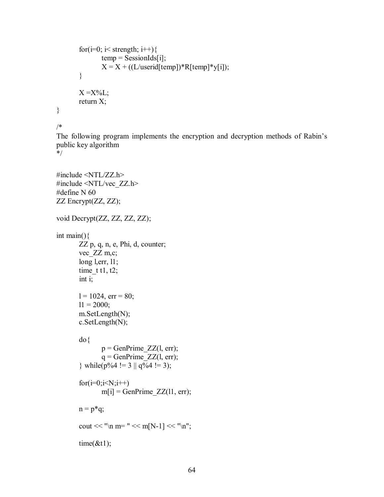```
for(i=0; i< strength; i++){
               temp = SessionIds[i];X = X + ((L/userid[temp]) * R[temp] * y[i]); } 
       X = X\%L;
        return X; 
}
```
/\*

The following program implements the encryption and decryption methods of Rabin's public key algorithm

\*/

```
#include <NTL/ZZ.h> 
#include <NTL/vec_ZZ.h> 
#define N 60 
ZZ Encrypt(ZZ, ZZ); 
void Decrypt(ZZ, ZZ, ZZ, ZZ); 
int main(){ 
        ZZ p, q, n, e, Phi, d, counter; 
       vec ZZ m,c;
        long l,err, l1; 
       time t t1, t2;
        int i; 
       l = 1024, err = 80;
       11 = 2000; m.SetLength(N); 
        c.SetLength(N); 
        do{ 
              p =GenPrime ZZ(1, err);q =GenPrime ZZ(1, err);} while(p\%4 != 3 || q\%4 != 3);
       for(i=0;i< N;i++)m[i] = GenPrime ZZ(11, err);
       n = p*q;cout << "\n m= " << m[N-1] << "\n";
       time(\& t1);
```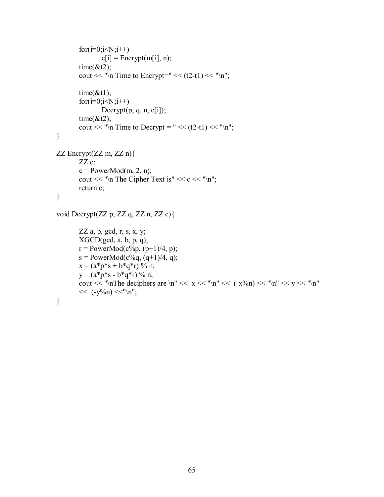```
for(i=0; i< N; i++)c[i] = Encrypt(m[i], n);
       time(\& t2);
       cout << "\n Time to Encrypt=" << (t2-t1) << "\n";
       time(\& t1);for(i=0; i< N; i++)Decrypt(p, q, n, c[i]);
       time(\& t2);cout << "\n Time to Decrypt = " << (t2-t1) << "\n";
} 
ZZ Encrypt(ZZ m, ZZ n){ 
       ZZ c;
       c = PowerMod(m, 2, n);cout << "\n The Cipher Text is" << c<< "\n";
        return c; 
} 
void Decrypt(ZZ p, ZZ q, ZZ n, ZZ c){
```

```
ZZ a, b, gcd, r, s, x, y;
XGCD(\text{gcd}, a, b, p, q);r = PowerMod(c%p, (p+1)/4, p);s = PowerMod(c\%q, (q+1)/4, q);
x = (a^*p^*s + b^*q^*r) % n;
y = (a^*p^*s - b^*q^*r) % n;
cout << "\nThe deciphers are \n" << x \ll "\n" << (-x^0/n) \ll "\n" << y \ll "\n"
<< (-y\%n) << "\n";
```

```
}
```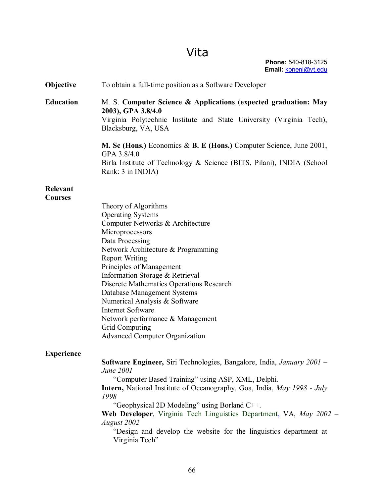# Vita

| Objective                         | To obtain a full-time position as a Software Developer                                                                                                                                                                                                                                                                                                                                                                                                                                                 |
|-----------------------------------|--------------------------------------------------------------------------------------------------------------------------------------------------------------------------------------------------------------------------------------------------------------------------------------------------------------------------------------------------------------------------------------------------------------------------------------------------------------------------------------------------------|
| <b>Education</b>                  | M. S. Computer Science & Applications (expected graduation: May<br>2003), GPA 3.8/4.0<br>Virginia Polytechnic Institute and State University (Virginia Tech),<br>Blacksburg, VA, USA<br>M. Sc (Hons.) Economics & B. E (Hons.) Computer Science, June 2001,                                                                                                                                                                                                                                            |
|                                   | GPA 3.8/4.0<br>Birla Institute of Technology & Science (BITS, Pilani), INDIA (School<br>Rank: 3 in INDIA)                                                                                                                                                                                                                                                                                                                                                                                              |
| <b>Relevant</b><br><b>Courses</b> | Theory of Algorithms<br><b>Operating Systems</b><br>Computer Networks & Architecture<br>Microprocessors<br>Data Processing<br>Network Architecture & Programming<br><b>Report Writing</b><br>Principles of Management<br>Information Storage & Retrieval<br>Discrete Mathematics Operations Research<br><b>Database Management Systems</b><br>Numerical Analysis & Software<br><b>Internet Software</b><br>Network performance & Management<br>Grid Computing<br><b>Advanced Computer Organization</b> |
| <b>Experience</b>                 | Software Engineer, Siri Technologies, Bangalore, India, January 2001 -<br>June 2001<br>"Computer Based Training" using ASP, XML, Delphi.<br><b>Intern,</b> National Institute of Oceanography, Goa, India, May 1998 - July<br>1998<br>"Geophysical 2D Modeling" using Borland C++.<br>Web Developer, Virginia Tech Linguistics Department, VA, May 2002 -<br>August 2002<br>"Design and develop the website for the linguistics department at<br>Virginia Tech"                                        |